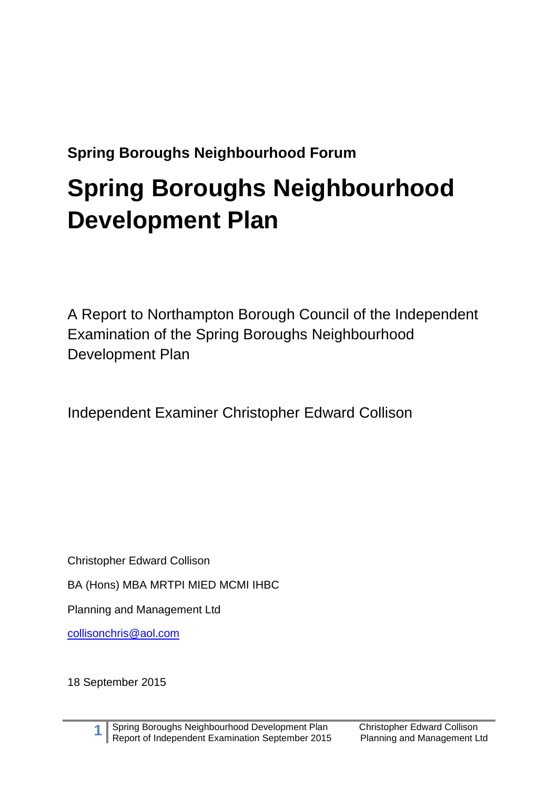# **Spring Boroughs Neighbourhood Forum**

# **Spring Boroughs Neighbourhood Development Plan**

A Report to Northampton Borough Council of the Independent Examination of the Spring Boroughs Neighbourhood Development Plan

Independent Examiner Christopher Edward Collison

Christopher Edward Collison

BA (Hons) MBA MRTPI MIED MCMI IHBC

Planning and Management Ltd

[collisonchris@aol.com](mailto:collisonchris@aol.com)

18 September 2015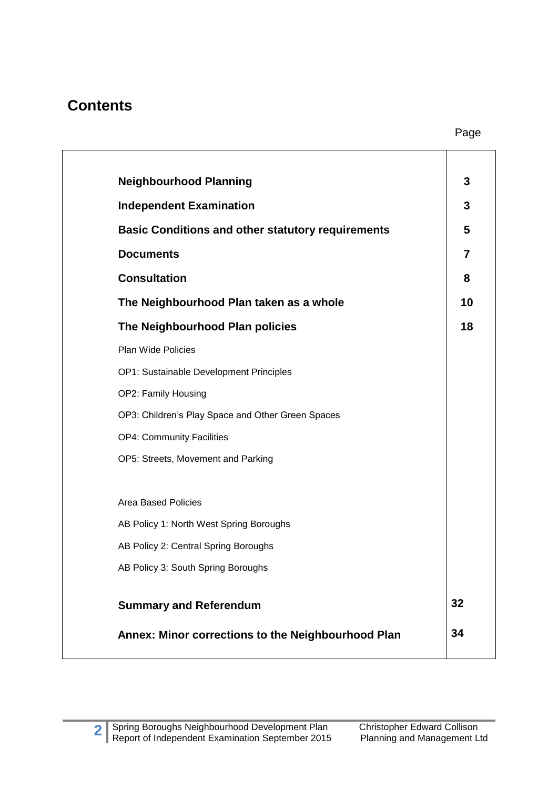### **Contents**

| <b>Neighbourhood Planning</b>                            | 3              |
|----------------------------------------------------------|----------------|
| <b>Independent Examination</b>                           | 3              |
| <b>Basic Conditions and other statutory requirements</b> | 5              |
| <b>Documents</b>                                         | $\overline{7}$ |
| <b>Consultation</b>                                      | 8              |
| The Neighbourhood Plan taken as a whole                  | 10             |
| The Neighbourhood Plan policies                          | 18             |
| Plan Wide Policies                                       |                |
| OP1: Sustainable Development Principles                  |                |
| OP2: Family Housing                                      |                |
| OP3: Children's Play Space and Other Green Spaces        |                |
| <b>OP4: Community Facilities</b>                         |                |
| OP5: Streets, Movement and Parking                       |                |
| <b>Area Based Policies</b>                               |                |
| AB Policy 1: North West Spring Boroughs                  |                |
| AB Policy 2: Central Spring Boroughs                     |                |
| AB Policy 3: South Spring Boroughs                       |                |
| <b>Summary and Referendum</b>                            | 32             |
| Annex: Minor corrections to the Neighbourhood Plan       | 34             |
|                                                          |                |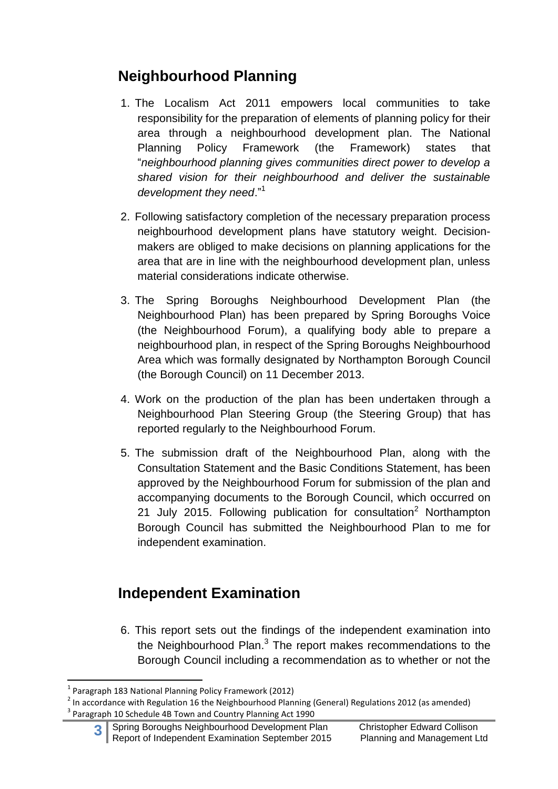## **Neighbourhood Planning**

- 1. The Localism Act 2011 empowers local communities to take responsibility for the preparation of elements of planning policy for their area through a neighbourhood development plan. The National Planning Policy Framework (the Framework) states that "*neighbourhood planning gives communities direct power to develop a shared vision for their neighbourhood and deliver the sustainable development they need*."<sup>1</sup>
- 2. Following satisfactory completion of the necessary preparation process neighbourhood development plans have statutory weight. Decisionmakers are obliged to make decisions on planning applications for the area that are in line with the neighbourhood development plan, unless material considerations indicate otherwise.
- 3. The Spring Boroughs Neighbourhood Development Plan (the Neighbourhood Plan) has been prepared by Spring Boroughs Voice (the Neighbourhood Forum), a qualifying body able to prepare a neighbourhood plan, in respect of the Spring Boroughs Neighbourhood Area which was formally designated by Northampton Borough Council (the Borough Council) on 11 December 2013.
- 4. Work on the production of the plan has been undertaken through a Neighbourhood Plan Steering Group (the Steering Group) that has reported regularly to the Neighbourhood Forum.
- 5. The submission draft of the Neighbourhood Plan, along with the Consultation Statement and the Basic Conditions Statement, has been approved by the Neighbourhood Forum for submission of the plan and accompanying documents to the Borough Council, which occurred on 21 July 2015. Following publication for consultation<sup>2</sup> Northampton Borough Council has submitted the Neighbourhood Plan to me for independent examination.

## **Independent Examination**

6. This report sets out the findings of the independent examination into the Neighbourhood Plan.<sup>3</sup> The report makes recommendations to the Borough Council including a recommendation as to whether or not the

**<sup>.</sup>** 1 Paragraph 183 National Planning Policy Framework (2012)

 $^{2}$  In accordance with Regulation 16 the Neighbourhood Planning (General) Regulations 2012 (as amended) <sup>3</sup> Paragraph 10 Schedule 4B Town and Country Planning Act 1990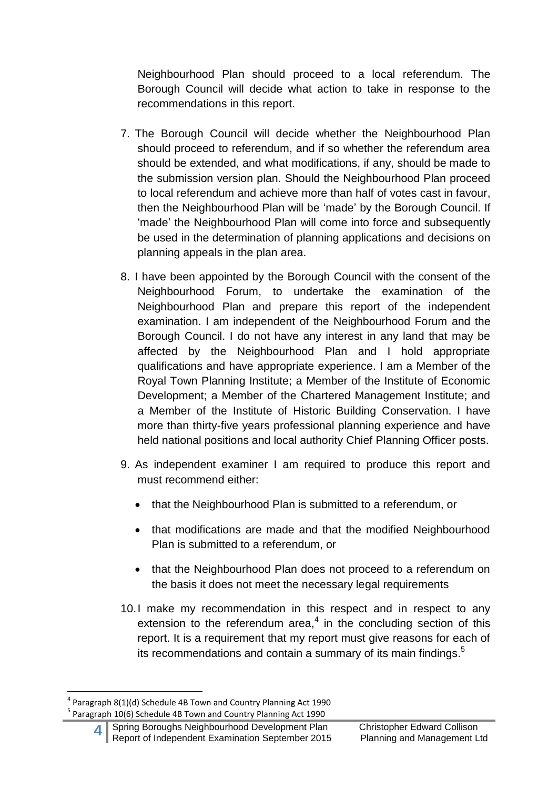Neighbourhood Plan should proceed to a local referendum. The Borough Council will decide what action to take in response to the recommendations in this report.

- 7. The Borough Council will decide whether the Neighbourhood Plan should proceed to referendum, and if so whether the referendum area should be extended, and what modifications, if any, should be made to the submission version plan. Should the Neighbourhood Plan proceed to local referendum and achieve more than half of votes cast in favour, then the Neighbourhood Plan will be 'made' by the Borough Council. If 'made' the Neighbourhood Plan will come into force and subsequently be used in the determination of planning applications and decisions on planning appeals in the plan area.
- 8. I have been appointed by the Borough Council with the consent of the Neighbourhood Forum, to undertake the examination of the Neighbourhood Plan and prepare this report of the independent examination. I am independent of the Neighbourhood Forum and the Borough Council. I do not have any interest in any land that may be affected by the Neighbourhood Plan and I hold appropriate qualifications and have appropriate experience. I am a Member of the Royal Town Planning Institute; a Member of the Institute of Economic Development; a Member of the Chartered Management Institute; and a Member of the Institute of Historic Building Conservation. I have more than thirty-five years professional planning experience and have held national positions and local authority Chief Planning Officer posts.
- 9. As independent examiner I am required to produce this report and must recommend either:
	- that the Neighbourhood Plan is submitted to a referendum, or
	- that modifications are made and that the modified Neighbourhood Plan is submitted to a referendum, or
	- that the Neighbourhood Plan does not proceed to a referendum on the basis it does not meet the necessary legal requirements
- 10.I make my recommendation in this respect and in respect to any extension to the referendum area, $4$  in the concluding section of this report. It is a requirement that my report must give reasons for each of its recommendations and contain a summary of its main findings.<sup>5</sup>

**<sup>.</sup>** <sup>4</sup> Paragraph 8(1)(d) Schedule 4B Town and Country Planning Act 1990 <sup>5</sup> Paragraph 10(6) Schedule 4B Town and Country Planning Act 1990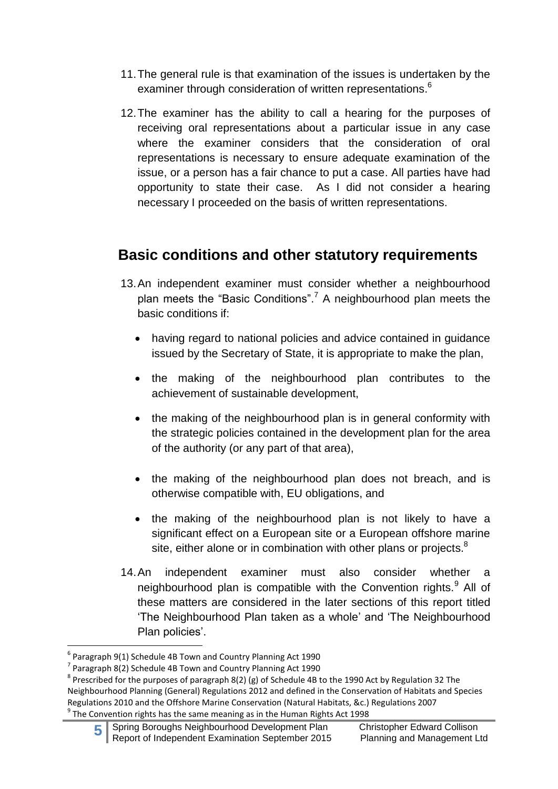- 11.The general rule is that examination of the issues is undertaken by the examiner through consideration of written representations.<sup>6</sup>
- 12.The examiner has the ability to call a hearing for the purposes of receiving oral representations about a particular issue in any case where the examiner considers that the consideration of oral representations is necessary to ensure adequate examination of the issue, or a person has a fair chance to put a case. All parties have had opportunity to state their case. As I did not consider a hearing necessary I proceeded on the basis of written representations.

### **Basic conditions and other statutory requirements**

- 13.An independent examiner must consider whether a neighbourhood plan meets the "Basic Conditions".<sup>7</sup> A neighbourhood plan meets the basic conditions if:
	- having regard to national policies and advice contained in guidance issued by the Secretary of State, it is appropriate to make the plan,
	- the making of the neighbourhood plan contributes to the achievement of sustainable development,
	- the making of the neighbourhood plan is in general conformity with the strategic policies contained in the development plan for the area of the authority (or any part of that area),
	- the making of the neighbourhood plan does not breach, and is otherwise compatible with, EU obligations, and
	- the making of the neighbourhood plan is not likely to have a significant effect on a European site or a European offshore marine site, either alone or in combination with other plans or projects. $8$
- 14.An independent examiner must also consider whether a neighbourhood plan is compatible with the Convention rights.<sup>9</sup> All of these matters are considered in the later sections of this report titled 'The Neighbourhood Plan taken as a whole' and 'The Neighbourhood Plan policies'.

 6 Paragraph 9(1) Schedule 4B Town and Country Planning Act 1990

 $<sup>7</sup>$  Paragraph 8(2) Schedule 4B Town and Country Planning Act 1990</sup>

 $^8$  Prescribed for the purposes of paragraph 8(2) (g) of Schedule 4B to the 1990 Act by Regulation 32 The Neighbourhood Planning (General) Regulations 2012 and defined in the Conservation of Habitats and Species Regulations 2010 and the Offshore Marine Conservation (Natural Habitats, &c.) Regulations 2007  $^9$  The Convention rights has the same meaning as in the Human Rights Act 1998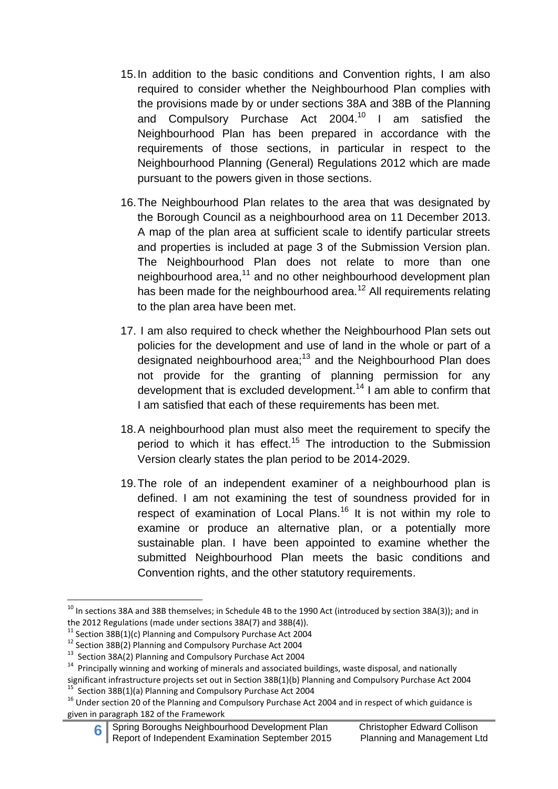- 15.In addition to the basic conditions and Convention rights, I am also required to consider whether the Neighbourhood Plan complies with the provisions made by or under sections 38A and 38B of the Planning and Compulsory Purchase Act 2004.<sup>10</sup> I am satisfied the Neighbourhood Plan has been prepared in accordance with the requirements of those sections, in particular in respect to the Neighbourhood Planning (General) Regulations 2012 which are made pursuant to the powers given in those sections.
- 16.The Neighbourhood Plan relates to the area that was designated by the Borough Council as a neighbourhood area on 11 December 2013. A map of the plan area at sufficient scale to identify particular streets and properties is included at page 3 of the Submission Version plan. The Neighbourhood Plan does not relate to more than one neighbourhood area,<sup>11</sup> and no other neighbourhood development plan has been made for the neighbourhood area.<sup>12</sup> All requirements relating to the plan area have been met.
- 17. I am also required to check whether the Neighbourhood Plan sets out policies for the development and use of land in the whole or part of a designated neighbourhood area;<sup>13</sup> and the Neighbourhood Plan does not provide for the granting of planning permission for any development that is excluded development.<sup>14</sup> I am able to confirm that I am satisfied that each of these requirements has been met.
- 18.A neighbourhood plan must also meet the requirement to specify the period to which it has effect.<sup>15</sup> The introduction to the Submission Version clearly states the plan period to be 2014-2029.
- 19.The role of an independent examiner of a neighbourhood plan is defined. I am not examining the test of soundness provided for in respect of examination of Local Plans.<sup>16</sup> It is not within my role to examine or produce an alternative plan, or a potentially more sustainable plan. I have been appointed to examine whether the submitted Neighbourhood Plan meets the basic conditions and Convention rights, and the other statutory requirements.

**<sup>.</sup>**  $^{10}$  In sections 38A and 38B themselves; in Schedule 4B to the 1990 Act (introduced by section 38A(3)); and in the 2012 Regulations (made under sections 38A(7) and 38B(4)).

 $11$  Section 38B(1)(c) Planning and Compulsory Purchase Act 2004

<sup>12</sup> Section 38B(2) Planning and Compulsory Purchase Act 2004

<sup>&</sup>lt;sup>13</sup> Section 38A(2) Planning and Compulsory Purchase Act 2004

<sup>&</sup>lt;sup>14</sup> Principally winning and working of minerals and associated buildings, waste disposal, and nationally

significant infrastructure projects set out in Section 38B(1)(b) Planning and Compulsory Purchase Act 2004<br><sup>15</sup> Section 28B(1)(a) Planning and Compulsory Purchase Act 2004 Section 38B(1)(a) Planning and Compulsory Purchase Act 2004

<sup>&</sup>lt;sup>16</sup> Under section 20 of the Planning and Compulsory Purchase Act 2004 and in respect of which guidance is given in paragraph 182 of the Framework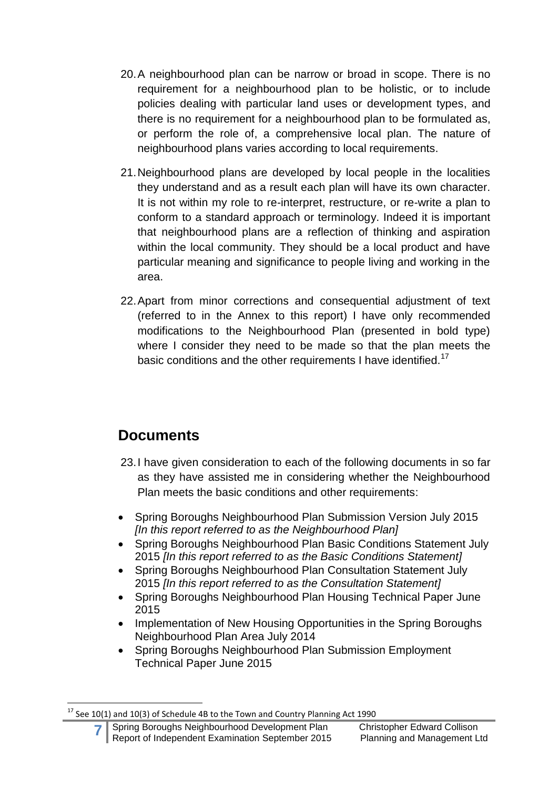- 20.A neighbourhood plan can be narrow or broad in scope. There is no requirement for a neighbourhood plan to be holistic, or to include policies dealing with particular land uses or development types, and there is no requirement for a neighbourhood plan to be formulated as, or perform the role of, a comprehensive local plan. The nature of neighbourhood plans varies according to local requirements.
- 21.Neighbourhood plans are developed by local people in the localities they understand and as a result each plan will have its own character. It is not within my role to re-interpret, restructure, or re-write a plan to conform to a standard approach or terminology. Indeed it is important that neighbourhood plans are a reflection of thinking and aspiration within the local community. They should be a local product and have particular meaning and significance to people living and working in the area.
- 22.Apart from minor corrections and consequential adjustment of text (referred to in the Annex to this report) I have only recommended modifications to the Neighbourhood Plan (presented in bold type) where I consider they need to be made so that the plan meets the basic conditions and the other requirements I have identified.<sup>17</sup>

## **Documents**

- 23.I have given consideration to each of the following documents in so far as they have assisted me in considering whether the Neighbourhood Plan meets the basic conditions and other requirements:
- Spring Boroughs Neighbourhood Plan Submission Version July 2015 *[In this report referred to as the Neighbourhood Plan]*
- Spring Boroughs Neighbourhood Plan Basic Conditions Statement July 2015 *[In this report referred to as the Basic Conditions Statement]*
- Spring Boroughs Neighbourhood Plan Consultation Statement July 2015 *[In this report referred to as the Consultation Statement]*
- Spring Boroughs Neighbourhood Plan Housing Technical Paper June 2015
- Implementation of New Housing Opportunities in the Spring Boroughs Neighbourhood Plan Area July 2014
- Spring Boroughs Neighbourhood Plan Submission Employment Technical Paper June 2015

<sup>1</sup>  $^{17}$  See 10(1) and 10(3) of Schedule 4B to the Town and Country Planning Act 1990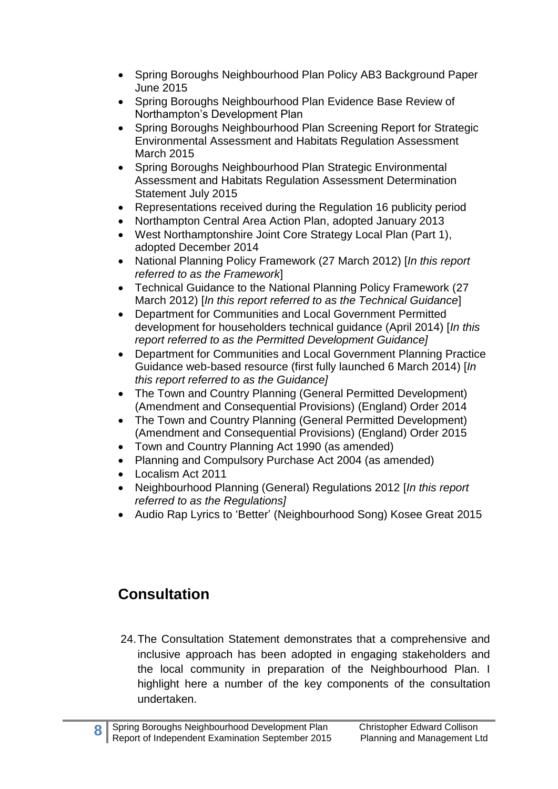- Spring Boroughs Neighbourhood Plan Policy AB3 Background Paper June 2015
- Spring Boroughs Neighbourhood Plan Evidence Base Review of Northampton's Development Plan
- Spring Boroughs Neighbourhood Plan Screening Report for Strategic Environmental Assessment and Habitats Regulation Assessment March 2015
- Spring Boroughs Neighbourhood Plan Strategic Environmental Assessment and Habitats Regulation Assessment Determination Statement July 2015
- Representations received during the Regulation 16 publicity period
- Northampton Central Area Action Plan, adopted January 2013
- West Northamptonshire Joint Core Strategy Local Plan (Part 1), adopted December 2014
- National Planning Policy Framework (27 March 2012) [*In this report referred to as the Framework*]
- Technical Guidance to the National Planning Policy Framework (27 March 2012) [*In this report referred to as the Technical Guidance*]
- Department for Communities and Local Government Permitted development for householders technical guidance (April 2014) [*In this report referred to as the Permitted Development Guidance]*
- Department for Communities and Local Government Planning Practice Guidance web-based resource (first fully launched 6 March 2014) [*In this report referred to as the Guidance]*
- The Town and Country Planning (General Permitted Development) (Amendment and Consequential Provisions) (England) Order 2014
- The Town and Country Planning (General Permitted Development) (Amendment and Consequential Provisions) (England) Order 2015
- Town and Country Planning Act 1990 (as amended)
- Planning and Compulsory Purchase Act 2004 (as amended)
- Localism Act 2011
- Neighbourhood Planning (General) Regulations 2012 [*In this report referred to as the Regulations]*
- Audio Rap Lyrics to 'Better' (Neighbourhood Song) Kosee Great 2015

# **Consultation**

24.The Consultation Statement demonstrates that a comprehensive and inclusive approach has been adopted in engaging stakeholders and the local community in preparation of the Neighbourhood Plan. I highlight here a number of the key components of the consultation undertaken.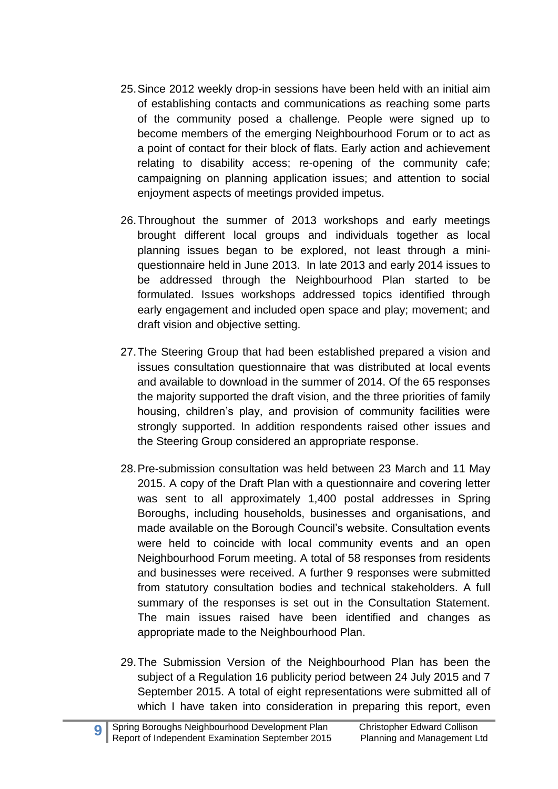- 25.Since 2012 weekly drop-in sessions have been held with an initial aim of establishing contacts and communications as reaching some parts of the community posed a challenge. People were signed up to become members of the emerging Neighbourhood Forum or to act as a point of contact for their block of flats. Early action and achievement relating to disability access; re-opening of the community cafe; campaigning on planning application issues; and attention to social enjoyment aspects of meetings provided impetus.
- 26.Throughout the summer of 2013 workshops and early meetings brought different local groups and individuals together as local planning issues began to be explored, not least through a miniquestionnaire held in June 2013. In late 2013 and early 2014 issues to be addressed through the Neighbourhood Plan started to be formulated. Issues workshops addressed topics identified through early engagement and included open space and play; movement; and draft vision and objective setting.
- 27.The Steering Group that had been established prepared a vision and issues consultation questionnaire that was distributed at local events and available to download in the summer of 2014. Of the 65 responses the majority supported the draft vision, and the three priorities of family housing, children's play, and provision of community facilities were strongly supported. In addition respondents raised other issues and the Steering Group considered an appropriate response.
- 28.Pre-submission consultation was held between 23 March and 11 May 2015. A copy of the Draft Plan with a questionnaire and covering letter was sent to all approximately 1,400 postal addresses in Spring Boroughs, including households, businesses and organisations, and made available on the Borough Council's website. Consultation events were held to coincide with local community events and an open Neighbourhood Forum meeting. A total of 58 responses from residents and businesses were received. A further 9 responses were submitted from statutory consultation bodies and technical stakeholders. A full summary of the responses is set out in the Consultation Statement. The main issues raised have been identified and changes as appropriate made to the Neighbourhood Plan.
- 29.The Submission Version of the Neighbourhood Plan has been the subject of a Regulation 16 publicity period between 24 July 2015 and 7 September 2015. A total of eight representations were submitted all of which I have taken into consideration in preparing this report, even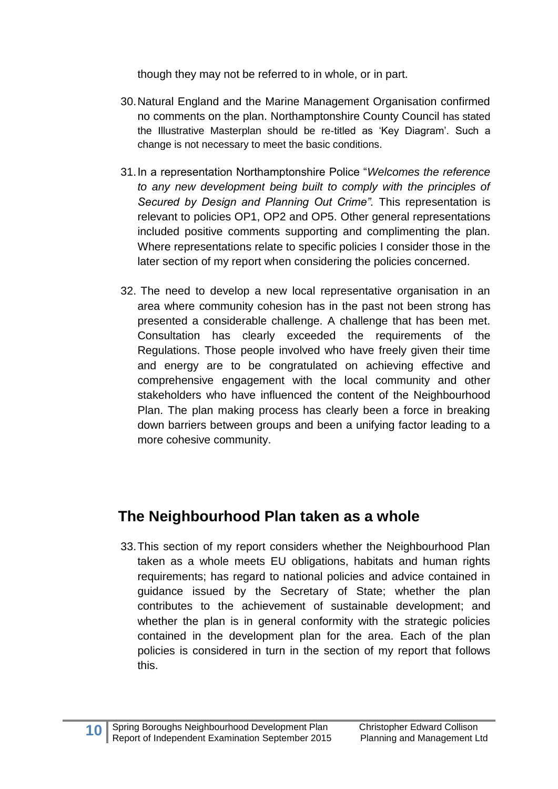though they may not be referred to in whole, or in part.

- 30.Natural England and the Marine Management Organisation confirmed no comments on the plan. Northamptonshire County Council has stated the Illustrative Masterplan should be re-titled as 'Key Diagram'. Such a change is not necessary to meet the basic conditions.
- 31.In a representation Northamptonshire Police "*Welcomes the reference to any new development being built to comply with the principles of Secured by Design and Planning Out Crime".* This representation is relevant to policies OP1, OP2 and OP5. Other general representations included positive comments supporting and complimenting the plan. Where representations relate to specific policies I consider those in the later section of my report when considering the policies concerned.
- 32. The need to develop a new local representative organisation in an area where community cohesion has in the past not been strong has presented a considerable challenge. A challenge that has been met. Consultation has clearly exceeded the requirements of the Regulations. Those people involved who have freely given their time and energy are to be congratulated on achieving effective and comprehensive engagement with the local community and other stakeholders who have influenced the content of the Neighbourhood Plan. The plan making process has clearly been a force in breaking down barriers between groups and been a unifying factor leading to a more cohesive community.

## **The Neighbourhood Plan taken as a whole**

33.This section of my report considers whether the Neighbourhood Plan taken as a whole meets EU obligations, habitats and human rights requirements; has regard to national policies and advice contained in guidance issued by the Secretary of State; whether the plan contributes to the achievement of sustainable development; and whether the plan is in general conformity with the strategic policies contained in the development plan for the area. Each of the plan policies is considered in turn in the section of my report that follows this.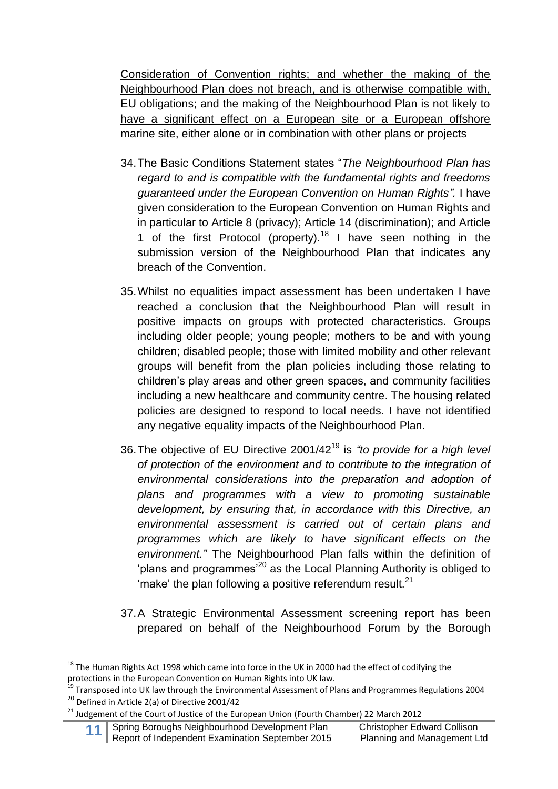Consideration of Convention rights; and whether the making of the Neighbourhood Plan does not breach, and is otherwise compatible with, EU obligations; and the making of the Neighbourhood Plan is not likely to have a significant effect on a European site or a European offshore marine site, either alone or in combination with other plans or projects

- 34.The Basic Conditions Statement states "*The Neighbourhood Plan has regard to and is compatible with the fundamental rights and freedoms guaranteed under the European Convention on Human Rights".* I have given consideration to the European Convention on Human Rights and in particular to Article 8 (privacy); Article 14 (discrimination); and Article 1 of the first Protocol (property).<sup>18</sup> I have seen nothing in the submission version of the Neighbourhood Plan that indicates any breach of the Convention.
- 35.Whilst no equalities impact assessment has been undertaken I have reached a conclusion that the Neighbourhood Plan will result in positive impacts on groups with protected characteristics. Groups including older people; young people; mothers to be and with young children; disabled people; those with limited mobility and other relevant groups will benefit from the plan policies including those relating to children's play areas and other green spaces, and community facilities including a new healthcare and community centre. The housing related policies are designed to respond to local needs. I have not identified any negative equality impacts of the Neighbourhood Plan.
- 36.The objective of EU Directive 2001/42<sup>19</sup> is *"to provide for a high level of protection of the environment and to contribute to the integration of environmental considerations into the preparation and adoption of plans and programmes with a view to promoting sustainable development, by ensuring that, in accordance with this Directive, an environmental assessment is carried out of certain plans and programmes which are likely to have significant effects on the environment."* The Neighbourhood Plan falls within the definition of 'plans and programmes'<sup>20</sup> as the Local Planning Authority is obliged to 'make' the plan following a positive referendum result. $21$
- 37.A Strategic Environmental Assessment screening report has been prepared on behalf of the Neighbourhood Forum by the Borough

**.** 

<sup>&</sup>lt;sup>18</sup> The Human Rights Act 1998 which came into force in the UK in 2000 had the effect of codifying the protections in the European Convention on Human Rights into UK law.

<sup>&</sup>lt;sup>19</sup> Transposed into UK law through the Environmental Assessment of Plans and Programmes Regulations 2004 <sup>20</sup> Defined in Article 2(a) of Directive 2001/42

<sup>&</sup>lt;sup>21</sup> Judgement of the Court of Justice of the European Union (Fourth Chamber) 22 March 2012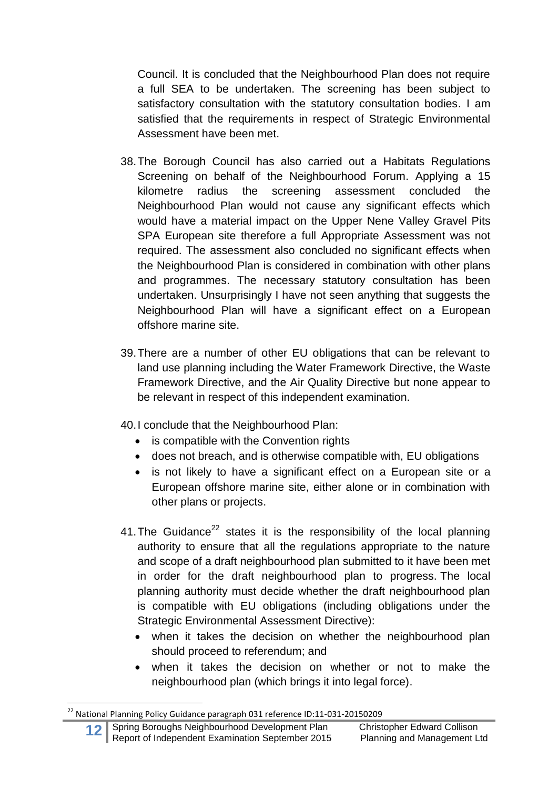Council. It is concluded that the Neighbourhood Plan does not require a full SEA to be undertaken. The screening has been subject to satisfactory consultation with the statutory consultation bodies. I am satisfied that the requirements in respect of Strategic Environmental Assessment have been met.

- 38.The Borough Council has also carried out a Habitats Regulations Screening on behalf of the Neighbourhood Forum. Applying a 15 kilometre radius the screening assessment concluded the Neighbourhood Plan would not cause any significant effects which would have a material impact on the Upper Nene Valley Gravel Pits SPA European site therefore a full Appropriate Assessment was not required. The assessment also concluded no significant effects when the Neighbourhood Plan is considered in combination with other plans and programmes. The necessary statutory consultation has been undertaken. Unsurprisingly I have not seen anything that suggests the Neighbourhood Plan will have a significant effect on a European offshore marine site.
- 39.There are a number of other EU obligations that can be relevant to land use planning including the Water Framework Directive, the Waste Framework Directive, and the Air Quality Directive but none appear to be relevant in respect of this independent examination.
- 40.I conclude that the Neighbourhood Plan:
	- is compatible with the Convention rights
	- does not breach, and is otherwise compatible with, EU obligations
	- is not likely to have a significant effect on a European site or a European offshore marine site, either alone or in combination with other plans or projects.
- 41. The Guidance<sup>22</sup> states it is the responsibility of the local planning authority to ensure that all the regulations appropriate to the nature and scope of a draft neighbourhood plan submitted to it have been met in order for the draft neighbourhood plan to progress. The local planning authority must decide whether the draft neighbourhood plan is compatible with EU obligations (including obligations under the Strategic Environmental Assessment Directive):
	- when it takes the decision on whether the neighbourhood plan should proceed to referendum; and
	- when it takes the decision on whether or not to make the neighbourhood plan (which brings it into legal force).

 $^{22}$  National Planning Policy Guidance paragraph 031 reference ID:11-031-20150209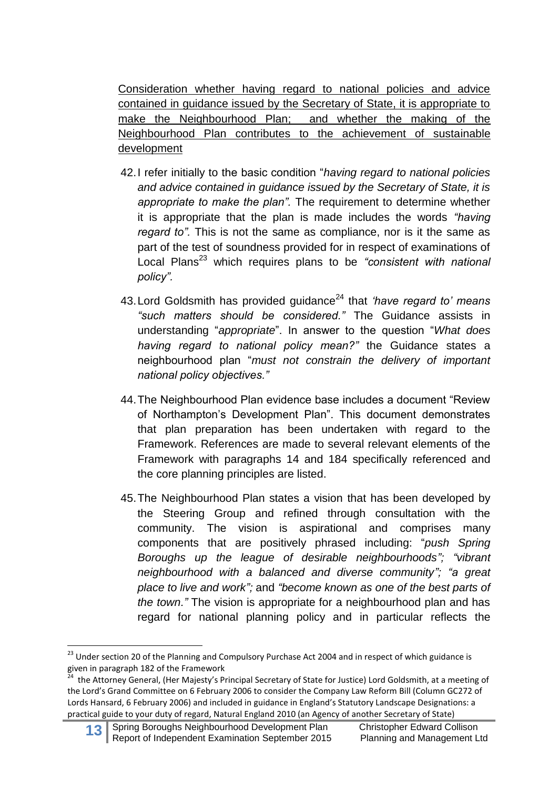Consideration whether having regard to national policies and advice contained in guidance issued by the Secretary of State, it is appropriate to make the Neighbourhood Plan; and whether the making of the Neighbourhood Plan contributes to the achievement of sustainable development

- 42.I refer initially to the basic condition "*having regard to national policies and advice contained in guidance issued by the Secretary of State, it is appropriate to make the plan".* The requirement to determine whether it is appropriate that the plan is made includes the words *"having regard to".* This is not the same as compliance, nor is it the same as part of the test of soundness provided for in respect of examinations of Local Plans<sup>23</sup> which requires plans to be "consistent with national *policy".*
- 43. Lord Goldsmith has provided guidance<sup>24</sup> that *'have regard to' means "such matters should be considered."* The Guidance assists in understanding "*appropriate*". In answer to the question "*What does having regard to national policy mean?"* the Guidance states a neighbourhood plan "*must not constrain the delivery of important national policy objectives."*
- 44.The Neighbourhood Plan evidence base includes a document "Review of Northampton's Development Plan". This document demonstrates that plan preparation has been undertaken with regard to the Framework. References are made to several relevant elements of the Framework with paragraphs 14 and 184 specifically referenced and the core planning principles are listed.
- 45.The Neighbourhood Plan states a vision that has been developed by the Steering Group and refined through consultation with the community. The vision is aspirational and comprises many components that are positively phrased including: "*push Spring Boroughs up the league of desirable neighbourhoods"; "vibrant neighbourhood with a balanced and diverse community"; "a great place to live and work";* and *"become known as one of the best parts of the town."* The vision is appropriate for a neighbourhood plan and has regard for national planning policy and in particular reflects the

<sup>&</sup>lt;sup>23</sup> Under section 20 of the Planning and Compulsory Purchase Act 2004 and in respect of which guidance is given in paragraph 182 of the Framework<br><sup>24</sup> the Atterney Coneral (Her Majesty's D

the Attorney General, (Her Majesty's Principal Secretary of State for Justice) Lord Goldsmith, at a meeting of the Lord's Grand Committee on 6 February 2006 to consider the Company Law Reform Bill (Column GC272 of Lords Hansard, 6 February 2006) and included in guidance in England's Statutory Landscape Designations: a practical guide to your duty of regard, Natural England 2010 (an Agency of another Secretary of State)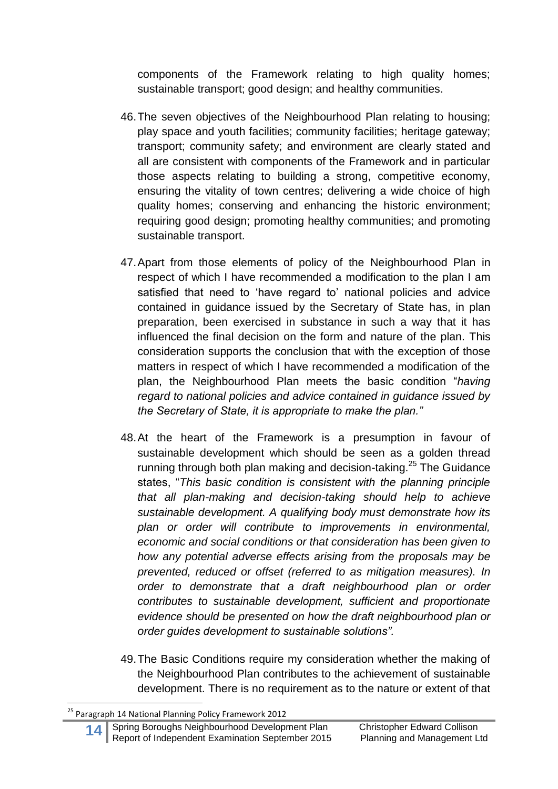components of the Framework relating to high quality homes; sustainable transport; good design; and healthy communities.

- 46.The seven objectives of the Neighbourhood Plan relating to housing; play space and youth facilities; community facilities; heritage gateway; transport; community safety; and environment are clearly stated and all are consistent with components of the Framework and in particular those aspects relating to building a strong, competitive economy, ensuring the vitality of town centres; delivering a wide choice of high quality homes; conserving and enhancing the historic environment; requiring good design; promoting healthy communities; and promoting sustainable transport.
- 47.Apart from those elements of policy of the Neighbourhood Plan in respect of which I have recommended a modification to the plan I am satisfied that need to 'have regard to' national policies and advice contained in guidance issued by the Secretary of State has, in plan preparation, been exercised in substance in such a way that it has influenced the final decision on the form and nature of the plan. This consideration supports the conclusion that with the exception of those matters in respect of which I have recommended a modification of the plan, the Neighbourhood Plan meets the basic condition "*having regard to national policies and advice contained in guidance issued by the Secretary of State, it is appropriate to make the plan."*
- 48.At the heart of the Framework is a presumption in favour of sustainable development which should be seen as a golden thread running through both plan making and decision-taking.<sup>25</sup> The Guidance states, "*This basic condition is consistent with the planning principle that all plan-making and decision-taking should help to achieve sustainable development. A qualifying body must demonstrate how its plan or order will contribute to improvements in environmental, economic and social conditions or that consideration has been given to how any potential adverse effects arising from the proposals may be prevented, reduced or offset (referred to as mitigation measures). In order to demonstrate that a draft neighbourhood plan or order contributes to sustainable development, sufficient and proportionate evidence should be presented on how the draft neighbourhood plan or order guides development to sustainable solutions".*
- 49.The Basic Conditions require my consideration whether the making of the Neighbourhood Plan contributes to the achievement of sustainable development. There is no requirement as to the nature or extent of that

<sup>&</sup>lt;sup>25</sup> Paragraph 14 National Planning Policy Framework 2012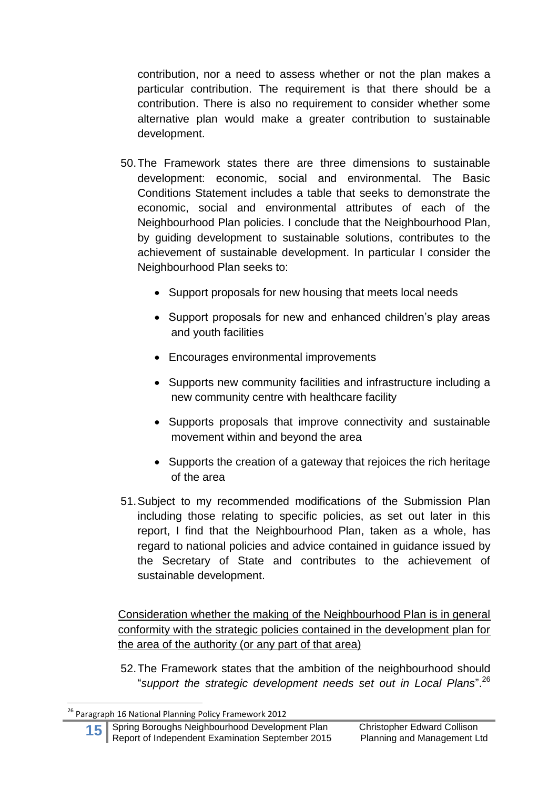contribution, nor a need to assess whether or not the plan makes a particular contribution. The requirement is that there should be a contribution. There is also no requirement to consider whether some alternative plan would make a greater contribution to sustainable development.

- 50.The Framework states there are three dimensions to sustainable development: economic, social and environmental. The Basic Conditions Statement includes a table that seeks to demonstrate the economic, social and environmental attributes of each of the Neighbourhood Plan policies. I conclude that the Neighbourhood Plan, by guiding development to sustainable solutions, contributes to the achievement of sustainable development. In particular I consider the Neighbourhood Plan seeks to:
	- Support proposals for new housing that meets local needs
	- Support proposals for new and enhanced children's play areas and youth facilities
	- Encourages environmental improvements
	- Supports new community facilities and infrastructure including a new community centre with healthcare facility
	- Supports proposals that improve connectivity and sustainable movement within and beyond the area
	- Supports the creation of a gateway that rejoices the rich heritage of the area
- 51.Subject to my recommended modifications of the Submission Plan including those relating to specific policies, as set out later in this report, I find that the Neighbourhood Plan, taken as a whole, has regard to national policies and advice contained in guidance issued by the Secretary of State and contributes to the achievement of sustainable development.

Consideration whether the making of the Neighbourhood Plan is in general conformity with the strategic policies contained in the development plan for the area of the authority (or any part of that area)

52.The Framework states that the ambition of the neighbourhood should "*support the strategic development needs set out in Local Plans*". 26

<sup>&</sup>lt;sup>26</sup> Paragraph 16 National Planning Policy Framework 2012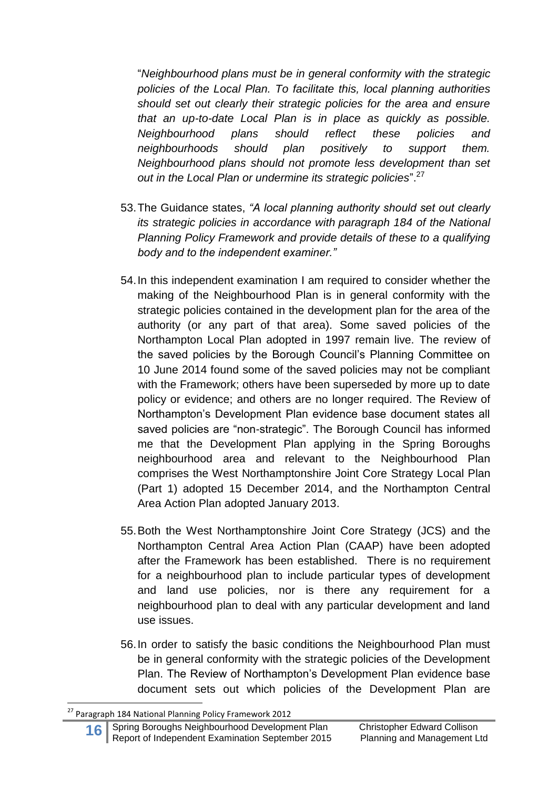"*Neighbourhood plans must be in general conformity with the strategic policies of the Local Plan. To facilitate this, local planning authorities should set out clearly their strategic policies for the area and ensure that an up-to-date Local Plan is in place as quickly as possible. Neighbourhood plans should reflect these policies and neighbourhoods should plan positively to support them. Neighbourhood plans should not promote less development than set out in the Local Plan or undermine its strategic policies*". 27

- 53.The Guidance states, *"A local planning authority should set out clearly its strategic policies in accordance with paragraph 184 of the National Planning Policy Framework and provide details of these to a qualifying body and to the independent examiner."*
- 54.In this independent examination I am required to consider whether the making of the Neighbourhood Plan is in general conformity with the strategic policies contained in the development plan for the area of the authority (or any part of that area). Some saved policies of the Northampton Local Plan adopted in 1997 remain live. The review of the saved policies by the Borough Council's Planning Committee on 10 June 2014 found some of the saved policies may not be compliant with the Framework; others have been superseded by more up to date policy or evidence; and others are no longer required. The Review of Northampton's Development Plan evidence base document states all saved policies are "non-strategic". The Borough Council has informed me that the Development Plan applying in the Spring Boroughs neighbourhood area and relevant to the Neighbourhood Plan comprises the West Northamptonshire Joint Core Strategy Local Plan (Part 1) adopted 15 December 2014, and the Northampton Central Area Action Plan adopted January 2013.
- 55.Both the West Northamptonshire Joint Core Strategy (JCS) and the Northampton Central Area Action Plan (CAAP) have been adopted after the Framework has been established. There is no requirement for a neighbourhood plan to include particular types of development and land use policies, nor is there any requirement for a neighbourhood plan to deal with any particular development and land use issues.
- 56.In order to satisfy the basic conditions the Neighbourhood Plan must be in general conformity with the strategic policies of the Development Plan. The Review of Northampton's Development Plan evidence base document sets out which policies of the Development Plan are

<sup>&</sup>lt;sup>27</sup> Paragraph 184 National Planning Policy Framework 2012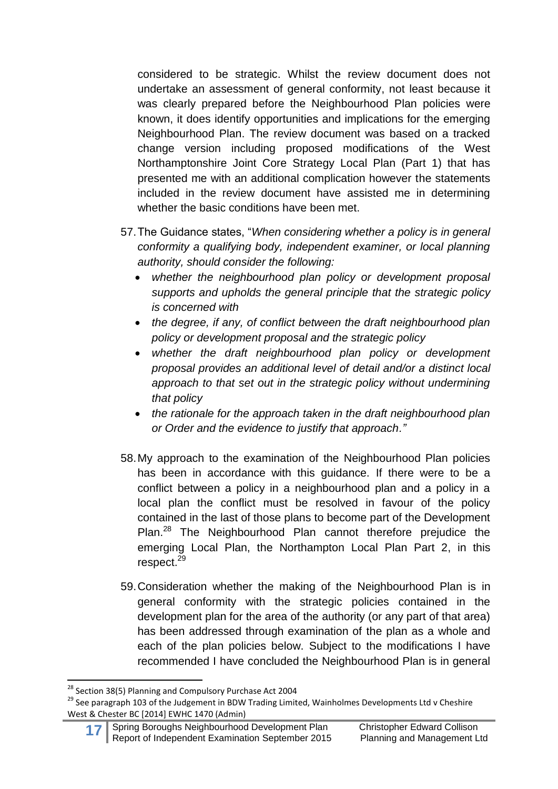considered to be strategic. Whilst the review document does not undertake an assessment of general conformity, not least because it was clearly prepared before the Neighbourhood Plan policies were known, it does identify opportunities and implications for the emerging Neighbourhood Plan. The review document was based on a tracked change version including proposed modifications of the West Northamptonshire Joint Core Strategy Local Plan (Part 1) that has presented me with an additional complication however the statements included in the review document have assisted me in determining whether the basic conditions have been met.

- 57.The Guidance states, "*When considering whether a policy is in general conformity a qualifying body, independent examiner, or local planning authority, should consider the following:*
	- *whether the neighbourhood plan policy or development proposal supports and upholds the general principle that the strategic policy is concerned with*
	- *the degree, if any, of conflict between the draft neighbourhood plan policy or development proposal and the strategic policy*
	- *whether the draft neighbourhood plan policy or development proposal provides an additional level of detail and/or a distinct local approach to that set out in the strategic policy without undermining that policy*
	- *the rationale for the approach taken in the draft neighbourhood plan or Order and the evidence to justify that approach."*
- 58.My approach to the examination of the Neighbourhood Plan policies has been in accordance with this guidance. If there were to be a conflict between a policy in a neighbourhood plan and a policy in a local plan the conflict must be resolved in favour of the policy contained in the last of those plans to become part of the Development Plan.<sup>28</sup> The Neighbourhood Plan cannot therefore prejudice the emerging Local Plan, the Northampton Local Plan Part 2, in this respect.<sup>29</sup>
- 59.Consideration whether the making of the Neighbourhood Plan is in general conformity with the strategic policies contained in the development plan for the area of the authority (or any part of that area) has been addressed through examination of the plan as a whole and each of the plan policies below. Subject to the modifications I have recommended I have concluded the Neighbourhood Plan is in general

**.** 

<sup>&</sup>lt;sup>28</sup> Section 38(5) Planning and Compulsory Purchase Act 2004

<sup>&</sup>lt;sup>29</sup> See paragraph 103 of the Judgement in BDW Trading Limited, Wainholmes Developments Ltd v Cheshire West & Chester BC [2014] EWHC 1470 (Admin)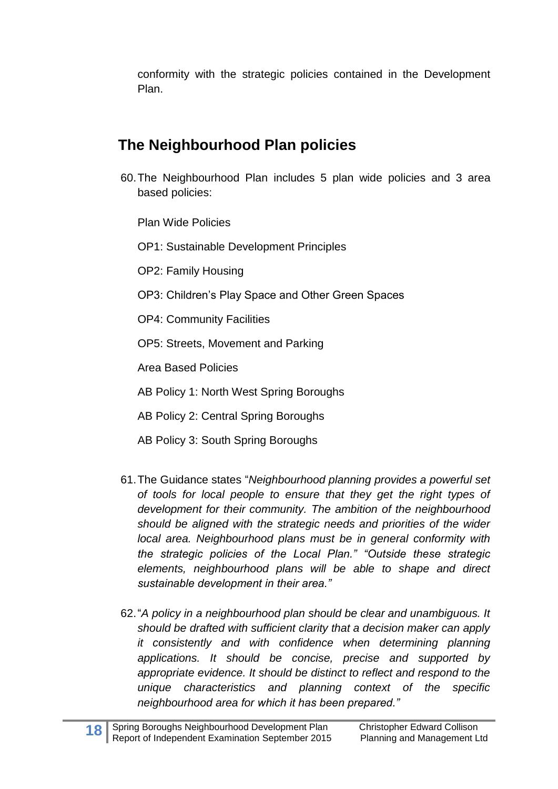conformity with the strategic policies contained in the Development Plan.

### **The Neighbourhood Plan policies**

60.The Neighbourhood Plan includes 5 plan wide policies and 3 area based policies:

Plan Wide Policies

OP1: Sustainable Development Principles

OP2: Family Housing

- OP3: Children's Play Space and Other Green Spaces
- OP4: Community Facilities
- OP5: Streets, Movement and Parking

Area Based Policies

- AB Policy 1: North West Spring Boroughs
- AB Policy 2: Central Spring Boroughs
- AB Policy 3: South Spring Boroughs
- 61.The Guidance states "*Neighbourhood planning provides a powerful set of tools for local people to ensure that they get the right types of development for their community. The ambition of the neighbourhood should be aligned with the strategic needs and priorities of the wider local area. Neighbourhood plans must be in general conformity with the strategic policies of the Local Plan." "Outside these strategic elements, neighbourhood plans will be able to shape and direct sustainable development in their area."*
- 62."*A policy in a neighbourhood plan should be clear and unambiguous. It should be drafted with sufficient clarity that a decision maker can apply it consistently and with confidence when determining planning applications. It should be concise, precise and supported by appropriate evidence. It should be distinct to reflect and respond to the unique characteristics and planning context of the specific neighbourhood area for which it has been prepared."*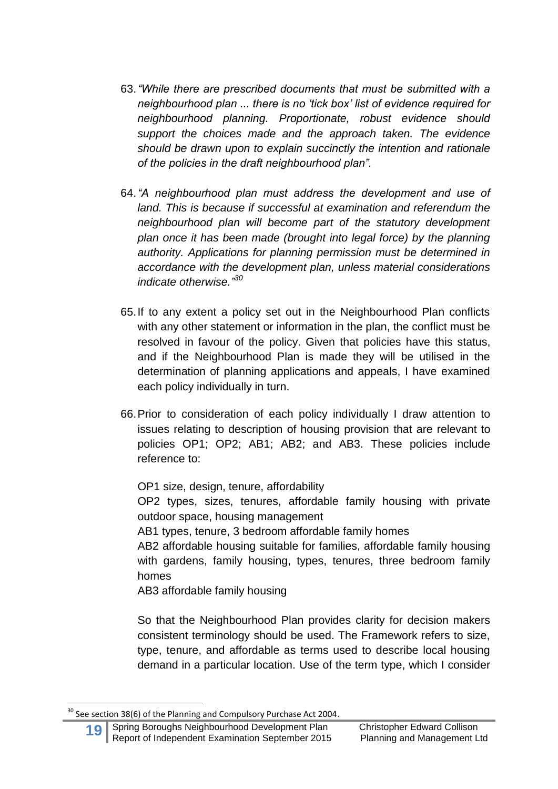- 63.*"While there are prescribed documents that must be submitted with a neighbourhood plan ... there is no 'tick box' list of evidence required for neighbourhood planning. Proportionate, robust evidence should support the choices made and the approach taken. The evidence should be drawn upon to explain succinctly the intention and rationale of the policies in the draft neighbourhood plan".*
- 64.*"A neighbourhood plan must address the development and use of land. This is because if successful at examination and referendum the neighbourhood plan will become part of the statutory development plan once it has been made (brought into legal force) by the planning authority. Applications for planning permission must be determined in accordance with the development plan, unless material considerations indicate otherwise." 30*
- 65.If to any extent a policy set out in the Neighbourhood Plan conflicts with any other statement or information in the plan, the conflict must be resolved in favour of the policy. Given that policies have this status, and if the Neighbourhood Plan is made they will be utilised in the determination of planning applications and appeals, I have examined each policy individually in turn.
- 66.Prior to consideration of each policy individually I draw attention to issues relating to description of housing provision that are relevant to policies OP1; OP2; AB1; AB2; and AB3. These policies include reference to:

OP1 size, design, tenure, affordability OP2 types, sizes, tenures, affordable family housing with private outdoor space, housing management

AB1 types, tenure, 3 bedroom affordable family homes

AB2 affordable housing suitable for families, affordable family housing with gardens, family housing, types, tenures, three bedroom family homes

AB3 affordable family housing

So that the Neighbourhood Plan provides clarity for decision makers consistent terminology should be used. The Framework refers to size, type, tenure, and affordable as terms used to describe local housing demand in a particular location. Use of the term type, which I consider

 $30$  See section 38(6) of the Planning and Compulsory Purchase Act 2004.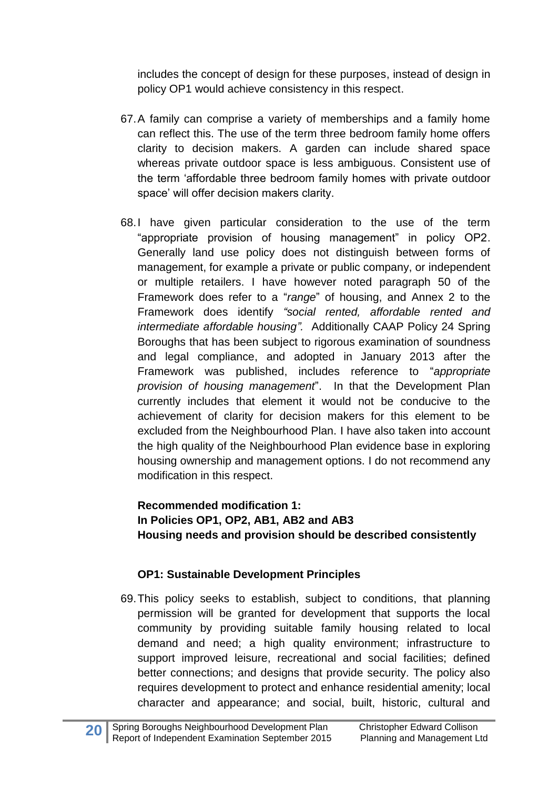includes the concept of design for these purposes, instead of design in policy OP1 would achieve consistency in this respect.

- 67.A family can comprise a variety of memberships and a family home can reflect this. The use of the term three bedroom family home offers clarity to decision makers. A garden can include shared space whereas private outdoor space is less ambiguous. Consistent use of the term 'affordable three bedroom family homes with private outdoor space' will offer decision makers clarity.
- 68.I have given particular consideration to the use of the term "appropriate provision of housing management" in policy OP2. Generally land use policy does not distinguish between forms of management, for example a private or public company, or independent or multiple retailers. I have however noted paragraph 50 of the Framework does refer to a "*range*" of housing, and Annex 2 to the Framework does identify *"social rented, affordable rented and intermediate affordable housing".* Additionally CAAP Policy 24 Spring Boroughs that has been subject to rigorous examination of soundness and legal compliance, and adopted in January 2013 after the Framework was published, includes reference to "*appropriate provision of housing management*". In that the Development Plan currently includes that element it would not be conducive to the achievement of clarity for decision makers for this element to be excluded from the Neighbourhood Plan. I have also taken into account the high quality of the Neighbourhood Plan evidence base in exploring housing ownership and management options. I do not recommend any modification in this respect.

#### **Recommended modification 1: In Policies OP1, OP2, AB1, AB2 and AB3 Housing needs and provision should be described consistently**

#### **OP1: Sustainable Development Principles**

69.This policy seeks to establish, subject to conditions, that planning permission will be granted for development that supports the local community by providing suitable family housing related to local demand and need; a high quality environment; infrastructure to support improved leisure, recreational and social facilities; defined better connections; and designs that provide security. The policy also requires development to protect and enhance residential amenity; local character and appearance; and social, built, historic, cultural and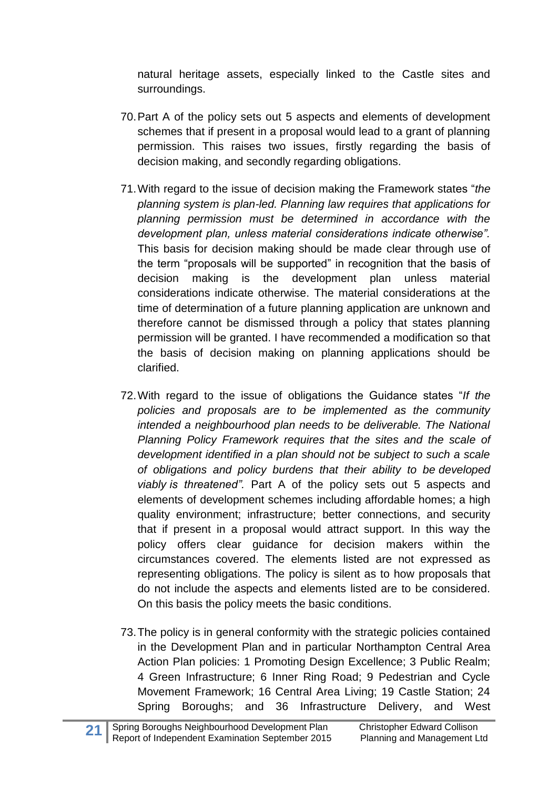natural heritage assets, especially linked to the Castle sites and surroundings.

- 70.Part A of the policy sets out 5 aspects and elements of development schemes that if present in a proposal would lead to a grant of planning permission. This raises two issues, firstly regarding the basis of decision making, and secondly regarding obligations.
- 71.With regard to the issue of decision making the Framework states "*the planning system is plan-led. Planning law requires that applications for planning permission must be determined in accordance with the development plan, unless material considerations indicate otherwise".* This basis for decision making should be made clear through use of the term "proposals will be supported" in recognition that the basis of decision making is the development plan unless material considerations indicate otherwise. The material considerations at the time of determination of a future planning application are unknown and therefore cannot be dismissed through a policy that states planning permission will be granted. I have recommended a modification so that the basis of decision making on planning applications should be clarified.
- 72.With regard to the issue of obligations the Guidance states "*If the policies and proposals are to be implemented as the community intended a neighbourhood plan needs to be deliverable. The National Planning Policy Framework requires that the sites and the scale of development identified in a plan should not be subject to such a scale of obligations and policy burdens that their ability to be developed viably is threatened".* Part A of the policy sets out 5 aspects and elements of development schemes including affordable homes; a high quality environment; infrastructure; better connections, and security that if present in a proposal would attract support. In this way the policy offers clear guidance for decision makers within the circumstances covered. The elements listed are not expressed as representing obligations. The policy is silent as to how proposals that do not include the aspects and elements listed are to be considered. On this basis the policy meets the basic conditions.
- 73.The policy is in general conformity with the strategic policies contained in the Development Plan and in particular Northampton Central Area Action Plan policies: 1 Promoting Design Excellence; 3 Public Realm; 4 Green Infrastructure; 6 Inner Ring Road; 9 Pedestrian and Cycle Movement Framework; 16 Central Area Living; 19 Castle Station; 24 Spring Boroughs; and 36 Infrastructure Delivery, and West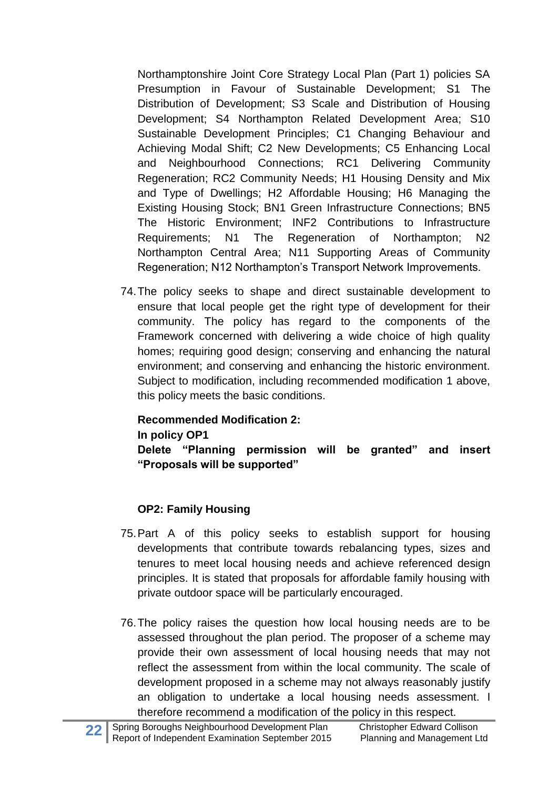Northamptonshire Joint Core Strategy Local Plan (Part 1) policies SA Presumption in Favour of Sustainable Development; S1 The Distribution of Development; S3 Scale and Distribution of Housing Development; S4 Northampton Related Development Area; S10 Sustainable Development Principles; C1 Changing Behaviour and Achieving Modal Shift; C2 New Developments; C5 Enhancing Local and Neighbourhood Connections; RC1 Delivering Community Regeneration; RC2 Community Needs; H1 Housing Density and Mix and Type of Dwellings; H2 Affordable Housing; H6 Managing the Existing Housing Stock; BN1 Green Infrastructure Connections; BN5 The Historic Environment; INF2 Contributions to Infrastructure Requirements; N1 The Regeneration of Northampton; N2 Northampton Central Area; N11 Supporting Areas of Community Regeneration; N12 Northampton's Transport Network Improvements.

74.The policy seeks to shape and direct sustainable development to ensure that local people get the right type of development for their community. The policy has regard to the components of the Framework concerned with delivering a wide choice of high quality homes; requiring good design; conserving and enhancing the natural environment; and conserving and enhancing the historic environment. Subject to modification, including recommended modification 1 above, this policy meets the basic conditions.

#### **Recommended Modification 2:**

#### **In policy OP1**

**Delete "Planning permission will be granted" and insert "Proposals will be supported"**

### **OP2: Family Housing**

- 75.Part A of this policy seeks to establish support for housing developments that contribute towards rebalancing types, sizes and tenures to meet local housing needs and achieve referenced design principles. It is stated that proposals for affordable family housing with private outdoor space will be particularly encouraged.
- 76.The policy raises the question how local housing needs are to be assessed throughout the plan period. The proposer of a scheme may provide their own assessment of local housing needs that may not reflect the assessment from within the local community. The scale of development proposed in a scheme may not always reasonably justify an obligation to undertake a local housing needs assessment. I therefore recommend a modification of the policy in this respect.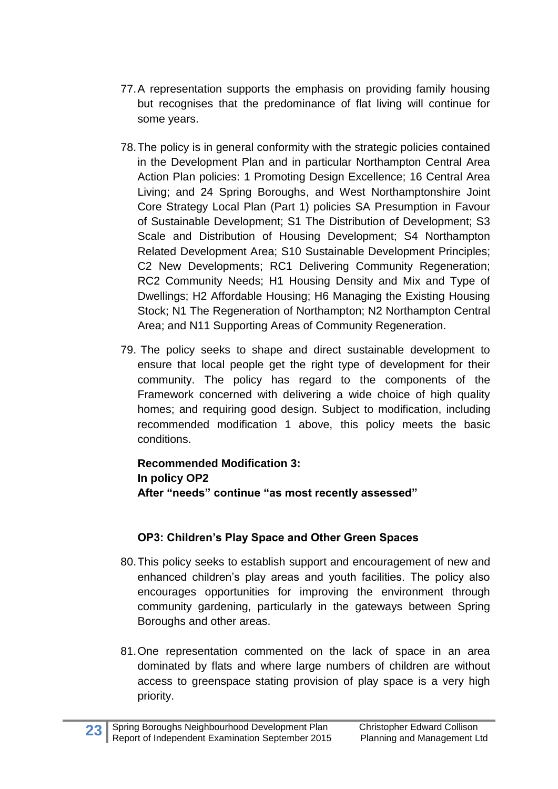- 77.A representation supports the emphasis on providing family housing but recognises that the predominance of flat living will continue for some years.
- 78.The policy is in general conformity with the strategic policies contained in the Development Plan and in particular Northampton Central Area Action Plan policies: 1 Promoting Design Excellence; 16 Central Area Living; and 24 Spring Boroughs, and West Northamptonshire Joint Core Strategy Local Plan (Part 1) policies SA Presumption in Favour of Sustainable Development; S1 The Distribution of Development; S3 Scale and Distribution of Housing Development; S4 Northampton Related Development Area; S10 Sustainable Development Principles; C2 New Developments; RC1 Delivering Community Regeneration; RC2 Community Needs; H1 Housing Density and Mix and Type of Dwellings; H2 Affordable Housing; H6 Managing the Existing Housing Stock; N1 The Regeneration of Northampton; N2 Northampton Central Area; and N11 Supporting Areas of Community Regeneration.
- 79. The policy seeks to shape and direct sustainable development to ensure that local people get the right type of development for their community. The policy has regard to the components of the Framework concerned with delivering a wide choice of high quality homes; and requiring good design. Subject to modification, including recommended modification 1 above, this policy meets the basic conditions.

**Recommended Modification 3: In policy OP2 After "needs" continue "as most recently assessed"**

### **OP3: Children's Play Space and Other Green Spaces**

- 80.This policy seeks to establish support and encouragement of new and enhanced children's play areas and youth facilities. The policy also encourages opportunities for improving the environment through community gardening, particularly in the gateways between Spring Boroughs and other areas.
- 81.One representation commented on the lack of space in an area dominated by flats and where large numbers of children are without access to greenspace stating provision of play space is a very high priority.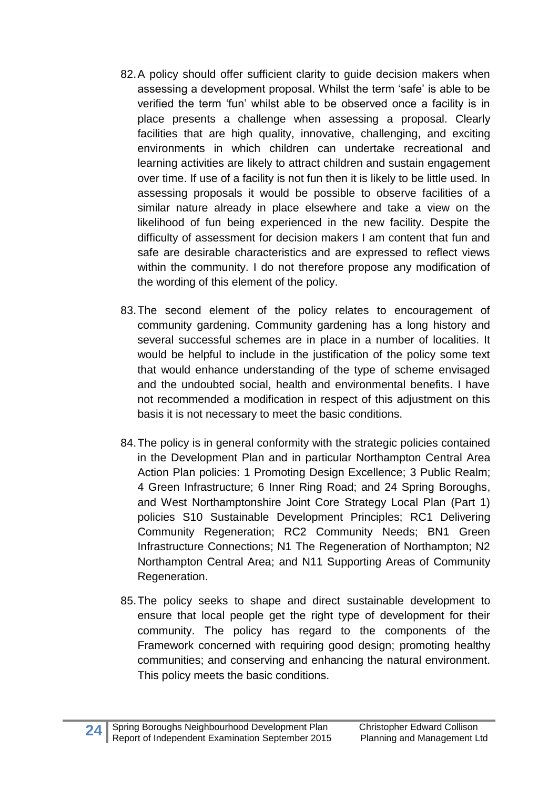- 82.A policy should offer sufficient clarity to guide decision makers when assessing a development proposal. Whilst the term 'safe' is able to be verified the term 'fun' whilst able to be observed once a facility is in place presents a challenge when assessing a proposal. Clearly facilities that are high quality, innovative, challenging, and exciting environments in which children can undertake recreational and learning activities are likely to attract children and sustain engagement over time. If use of a facility is not fun then it is likely to be little used. In assessing proposals it would be possible to observe facilities of a similar nature already in place elsewhere and take a view on the likelihood of fun being experienced in the new facility. Despite the difficulty of assessment for decision makers I am content that fun and safe are desirable characteristics and are expressed to reflect views within the community. I do not therefore propose any modification of the wording of this element of the policy.
- 83.The second element of the policy relates to encouragement of community gardening. Community gardening has a long history and several successful schemes are in place in a number of localities. It would be helpful to include in the justification of the policy some text that would enhance understanding of the type of scheme envisaged and the undoubted social, health and environmental benefits. I have not recommended a modification in respect of this adjustment on this basis it is not necessary to meet the basic conditions.
- 84.The policy is in general conformity with the strategic policies contained in the Development Plan and in particular Northampton Central Area Action Plan policies: 1 Promoting Design Excellence; 3 Public Realm; 4 Green Infrastructure; 6 Inner Ring Road; and 24 Spring Boroughs, and West Northamptonshire Joint Core Strategy Local Plan (Part 1) policies S10 Sustainable Development Principles; RC1 Delivering Community Regeneration; RC2 Community Needs; BN1 Green Infrastructure Connections; N1 The Regeneration of Northampton; N2 Northampton Central Area; and N11 Supporting Areas of Community Regeneration.
- 85.The policy seeks to shape and direct sustainable development to ensure that local people get the right type of development for their community. The policy has regard to the components of the Framework concerned with requiring good design; promoting healthy communities; and conserving and enhancing the natural environment. This policy meets the basic conditions.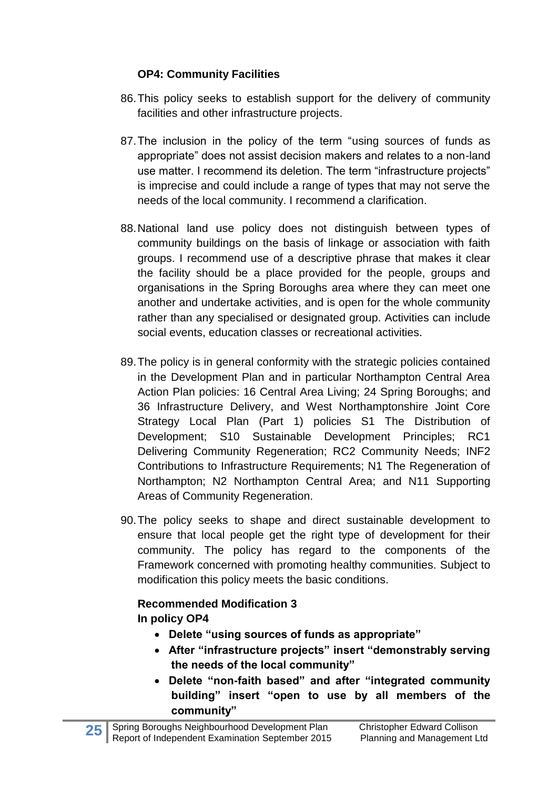#### **OP4: Community Facilities**

- 86.This policy seeks to establish support for the delivery of community facilities and other infrastructure projects.
- 87.The inclusion in the policy of the term "using sources of funds as appropriate" does not assist decision makers and relates to a non-land use matter. I recommend its deletion. The term "infrastructure projects" is imprecise and could include a range of types that may not serve the needs of the local community. I recommend a clarification.
- 88.National land use policy does not distinguish between types of community buildings on the basis of linkage or association with faith groups. I recommend use of a descriptive phrase that makes it clear the facility should be a place provided for the people, groups and organisations in the Spring Boroughs area where they can meet one another and undertake activities, and is open for the whole community rather than any specialised or designated group. Activities can include social events, education classes or recreational activities.
- 89.The policy is in general conformity with the strategic policies contained in the Development Plan and in particular Northampton Central Area Action Plan policies: 16 Central Area Living; 24 Spring Boroughs; and 36 Infrastructure Delivery, and West Northamptonshire Joint Core Strategy Local Plan (Part 1) policies S1 The Distribution of Development; S10 Sustainable Development Principles; RC1 Delivering Community Regeneration; RC2 Community Needs; INF2 Contributions to Infrastructure Requirements; N1 The Regeneration of Northampton; N2 Northampton Central Area; and N11 Supporting Areas of Community Regeneration.
- 90.The policy seeks to shape and direct sustainable development to ensure that local people get the right type of development for their community. The policy has regard to the components of the Framework concerned with promoting healthy communities. Subject to modification this policy meets the basic conditions.

### **Recommended Modification 3 In policy OP4**

- **Delete "using sources of funds as appropriate"**
- **After "infrastructure projects" insert "demonstrably serving the needs of the local community"**
- **Delete "non-faith based" and after "integrated community building" insert "open to use by all members of the community"**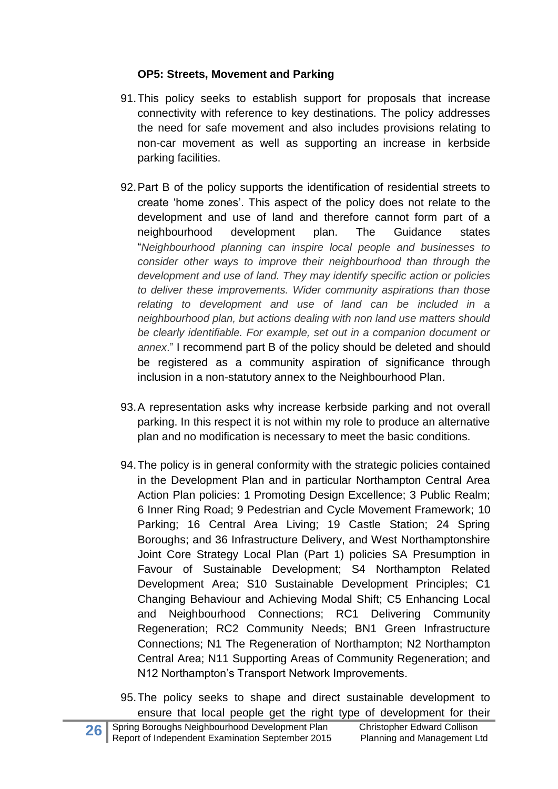#### **OP5: Streets, Movement and Parking**

- 91.This policy seeks to establish support for proposals that increase connectivity with reference to key destinations. The policy addresses the need for safe movement and also includes provisions relating to non-car movement as well as supporting an increase in kerbside parking facilities.
- 92.Part B of the policy supports the identification of residential streets to create 'home zones'. This aspect of the policy does not relate to the development and use of land and therefore cannot form part of a neighbourhood development plan. The Guidance states "*Neighbourhood planning can inspire local people and businesses to consider other ways to improve their neighbourhood than through the development and use of land. They may identify specific action or policies to deliver these improvements. Wider community aspirations than those relating to development and use of land can be included in a neighbourhood plan, but actions dealing with non land use matters should be clearly identifiable. For example, set out in a companion document or annex*." I recommend part B of the policy should be deleted and should be registered as a community aspiration of significance through inclusion in a non-statutory annex to the Neighbourhood Plan.
- 93.A representation asks why increase kerbside parking and not overall parking. In this respect it is not within my role to produce an alternative plan and no modification is necessary to meet the basic conditions.
- 94.The policy is in general conformity with the strategic policies contained in the Development Plan and in particular Northampton Central Area Action Plan policies: 1 Promoting Design Excellence; 3 Public Realm; 6 Inner Ring Road; 9 Pedestrian and Cycle Movement Framework; 10 Parking; 16 Central Area Living; 19 Castle Station; 24 Spring Boroughs; and 36 Infrastructure Delivery, and West Northamptonshire Joint Core Strategy Local Plan (Part 1) policies SA Presumption in Favour of Sustainable Development; S4 Northampton Related Development Area; S10 Sustainable Development Principles; C1 Changing Behaviour and Achieving Modal Shift; C5 Enhancing Local and Neighbourhood Connections; RC1 Delivering Community Regeneration; RC2 Community Needs; BN1 Green Infrastructure Connections; N1 The Regeneration of Northampton; N2 Northampton Central Area; N11 Supporting Areas of Community Regeneration; and N12 Northampton's Transport Network Improvements.
- 95.The policy seeks to shape and direct sustainable development to ensure that local people get the right type of development for their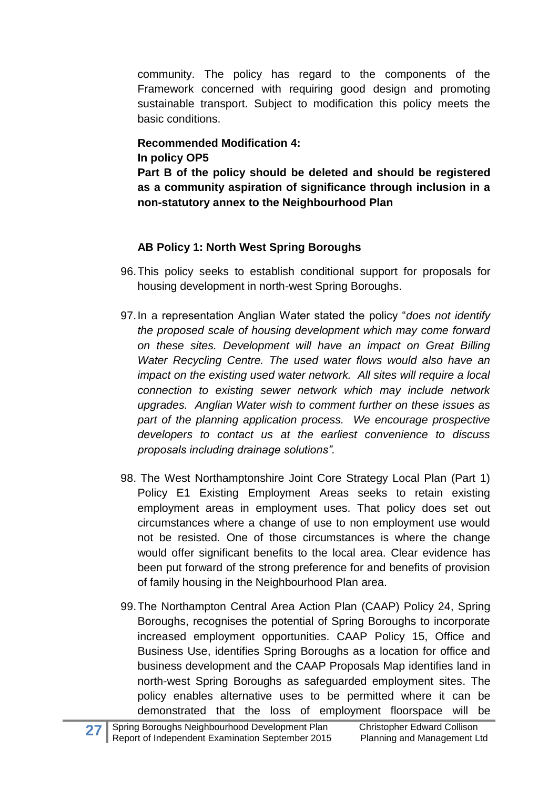community. The policy has regard to the components of the Framework concerned with requiring good design and promoting sustainable transport. Subject to modification this policy meets the basic conditions.

#### **Recommended Modification 4: In policy OP5**

**Part B of the policy should be deleted and should be registered as a community aspiration of significance through inclusion in a non-statutory annex to the Neighbourhood Plan**

### **AB Policy 1: North West Spring Boroughs**

- 96.This policy seeks to establish conditional support for proposals for housing development in north-west Spring Boroughs.
- 97.In a representation Anglian Water stated the policy "*does not identify the proposed scale of housing development which may come forward on these sites. Development will have an impact on Great Billing Water Recycling Centre. The used water flows would also have an impact on the existing used water network. All sites will require a local connection to existing sewer network which may include network upgrades. Anglian Water wish to comment further on these issues as part of the planning application process. We encourage prospective developers to contact us at the earliest convenience to discuss proposals including drainage solutions".*
- 98. The West Northamptonshire Joint Core Strategy Local Plan (Part 1) Policy E1 Existing Employment Areas seeks to retain existing employment areas in employment uses. That policy does set out circumstances where a change of use to non employment use would not be resisted. One of those circumstances is where the change would offer significant benefits to the local area. Clear evidence has been put forward of the strong preference for and benefits of provision of family housing in the Neighbourhood Plan area.
- 99.The Northampton Central Area Action Plan (CAAP) Policy 24, Spring Boroughs, recognises the potential of Spring Boroughs to incorporate increased employment opportunities. CAAP Policy 15, Office and Business Use, identifies Spring Boroughs as a location for office and business development and the CAAP Proposals Map identifies land in north-west Spring Boroughs as safeguarded employment sites. The policy enables alternative uses to be permitted where it can be demonstrated that the loss of employment floorspace will be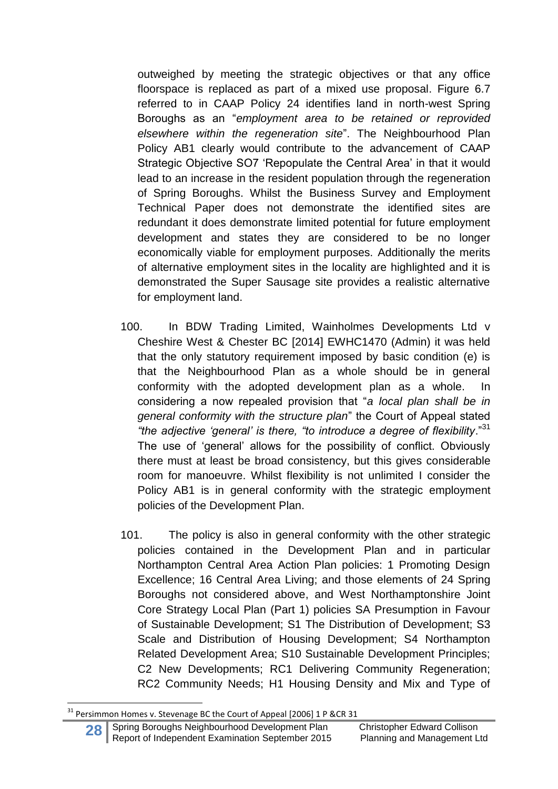outweighed by meeting the strategic objectives or that any office floorspace is replaced as part of a mixed use proposal. Figure 6.7 referred to in CAAP Policy 24 identifies land in north-west Spring Boroughs as an "*employment area to be retained or reprovided elsewhere within the regeneration site*". The Neighbourhood Plan Policy AB1 clearly would contribute to the advancement of CAAP Strategic Objective SO7 'Repopulate the Central Area' in that it would lead to an increase in the resident population through the regeneration of Spring Boroughs. Whilst the Business Survey and Employment Technical Paper does not demonstrate the identified sites are redundant it does demonstrate limited potential for future employment development and states they are considered to be no longer economically viable for employment purposes. Additionally the merits of alternative employment sites in the locality are highlighted and it is demonstrated the Super Sausage site provides a realistic alternative for employment land.

- 100. In BDW Trading Limited, Wainholmes Developments Ltd v Cheshire West & Chester BC [2014] EWHC1470 (Admin) it was held that the only statutory requirement imposed by basic condition (e) is that the Neighbourhood Plan as a whole should be in general conformity with the adopted development plan as a whole. In considering a now repealed provision that "*a local plan shall be in general conformity with the structure plan*" the Court of Appeal stated *"the adjective 'general' is there, "to introduce a degree of flexibility*."<sup>31</sup> The use of 'general' allows for the possibility of conflict. Obviously there must at least be broad consistency, but this gives considerable room for manoeuvre. Whilst flexibility is not unlimited I consider the Policy AB1 is in general conformity with the strategic employment policies of the Development Plan.
- 101. The policy is also in general conformity with the other strategic policies contained in the Development Plan and in particular Northampton Central Area Action Plan policies: 1 Promoting Design Excellence; 16 Central Area Living; and those elements of 24 Spring Boroughs not considered above, and West Northamptonshire Joint Core Strategy Local Plan (Part 1) policies SA Presumption in Favour of Sustainable Development; S1 The Distribution of Development; S3 Scale and Distribution of Housing Development; S4 Northampton Related Development Area; S10 Sustainable Development Principles; C2 New Developments; RC1 Delivering Community Regeneration; RC2 Community Needs; H1 Housing Density and Mix and Type of

<sup>1</sup>  $31$  Persimmon Homes v. Stevenage BC the Court of Appeal [2006] 1 P &CR 31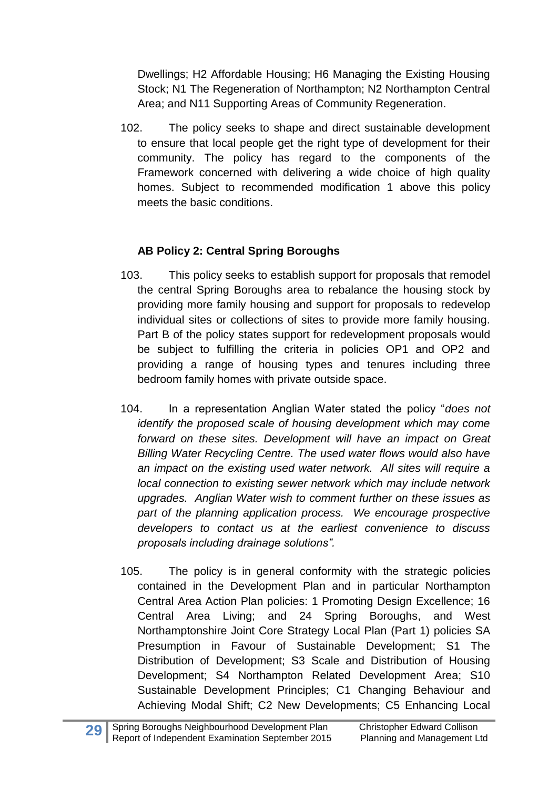Dwellings; H2 Affordable Housing; H6 Managing the Existing Housing Stock; N1 The Regeneration of Northampton; N2 Northampton Central Area; and N11 Supporting Areas of Community Regeneration.

102. The policy seeks to shape and direct sustainable development to ensure that local people get the right type of development for their community. The policy has regard to the components of the Framework concerned with delivering a wide choice of high quality homes. Subject to recommended modification 1 above this policy meets the basic conditions.

### **AB Policy 2: Central Spring Boroughs**

- 103. This policy seeks to establish support for proposals that remodel the central Spring Boroughs area to rebalance the housing stock by providing more family housing and support for proposals to redevelop individual sites or collections of sites to provide more family housing. Part B of the policy states support for redevelopment proposals would be subject to fulfilling the criteria in policies OP1 and OP2 and providing a range of housing types and tenures including three bedroom family homes with private outside space.
- 104. In a representation Anglian Water stated the policy "*does not identify the proposed scale of housing development which may come forward on these sites. Development will have an impact on Great Billing Water Recycling Centre. The used water flows would also have an impact on the existing used water network. All sites will require a local connection to existing sewer network which may include network upgrades. Anglian Water wish to comment further on these issues as part of the planning application process. We encourage prospective developers to contact us at the earliest convenience to discuss proposals including drainage solutions".*
- 105. The policy is in general conformity with the strategic policies contained in the Development Plan and in particular Northampton Central Area Action Plan policies: 1 Promoting Design Excellence; 16 Central Area Living; and 24 Spring Boroughs, and West Northamptonshire Joint Core Strategy Local Plan (Part 1) policies SA Presumption in Favour of Sustainable Development; S1 The Distribution of Development; S3 Scale and Distribution of Housing Development; S4 Northampton Related Development Area; S10 Sustainable Development Principles; C1 Changing Behaviour and Achieving Modal Shift; C2 New Developments; C5 Enhancing Local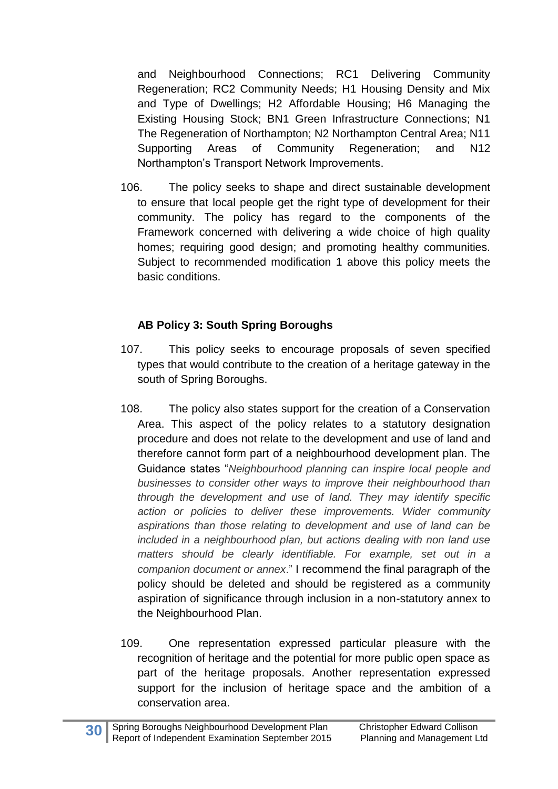and Neighbourhood Connections; RC1 Delivering Community Regeneration; RC2 Community Needs; H1 Housing Density and Mix and Type of Dwellings; H2 Affordable Housing; H6 Managing the Existing Housing Stock; BN1 Green Infrastructure Connections; N1 The Regeneration of Northampton; N2 Northampton Central Area; N11 Supporting Areas of Community Regeneration; and N12 Northampton's Transport Network Improvements.

106. The policy seeks to shape and direct sustainable development to ensure that local people get the right type of development for their community. The policy has regard to the components of the Framework concerned with delivering a wide choice of high quality homes; requiring good design; and promoting healthy communities. Subject to recommended modification 1 above this policy meets the basic conditions.

### **AB Policy 3: South Spring Boroughs**

- 107. This policy seeks to encourage proposals of seven specified types that would contribute to the creation of a heritage gateway in the south of Spring Boroughs.
- 108. The policy also states support for the creation of a Conservation Area. This aspect of the policy relates to a statutory designation procedure and does not relate to the development and use of land and therefore cannot form part of a neighbourhood development plan. The Guidance states "*Neighbourhood planning can inspire local people and businesses to consider other ways to improve their neighbourhood than through the development and use of land. They may identify specific action or policies to deliver these improvements. Wider community aspirations than those relating to development and use of land can be included in a neighbourhood plan, but actions dealing with non land use matters should be clearly identifiable. For example, set out in a companion document or annex*." I recommend the final paragraph of the policy should be deleted and should be registered as a community aspiration of significance through inclusion in a non-statutory annex to the Neighbourhood Plan.
- 109. One representation expressed particular pleasure with the recognition of heritage and the potential for more public open space as part of the heritage proposals. Another representation expressed support for the inclusion of heritage space and the ambition of a conservation area.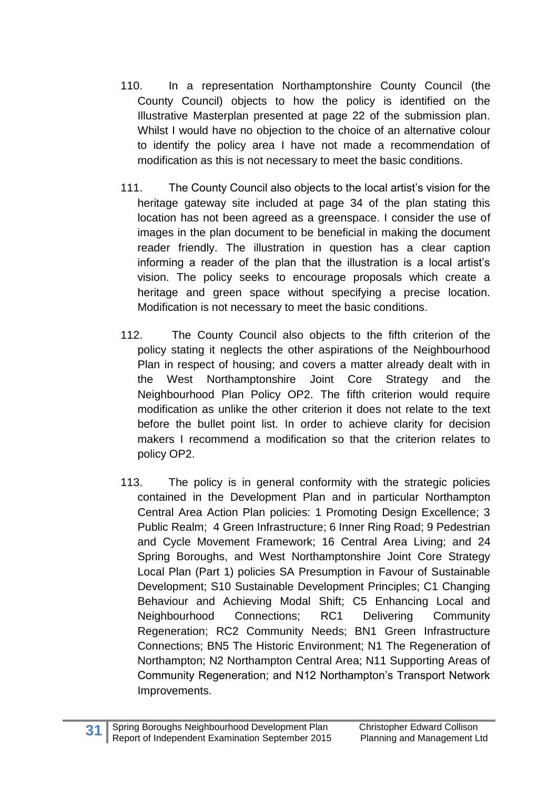- 110. In a representation Northamptonshire County Council (the County Council) objects to how the policy is identified on the Illustrative Masterplan presented at page 22 of the submission plan. Whilst I would have no objection to the choice of an alternative colour to identify the policy area I have not made a recommendation of modification as this is not necessary to meet the basic conditions.
- 111. The County Council also objects to the local artist's vision for the heritage gateway site included at page 34 of the plan stating this location has not been agreed as a greenspace. I consider the use of images in the plan document to be beneficial in making the document reader friendly. The illustration in question has a clear caption informing a reader of the plan that the illustration is a local artist's vision. The policy seeks to encourage proposals which create a heritage and green space without specifying a precise location. Modification is not necessary to meet the basic conditions.
- 112. The County Council also objects to the fifth criterion of the policy stating it neglects the other aspirations of the Neighbourhood Plan in respect of housing; and covers a matter already dealt with in the West Northamptonshire Joint Core Strategy and the Neighbourhood Plan Policy OP2. The fifth criterion would require modification as unlike the other criterion it does not relate to the text before the bullet point list. In order to achieve clarity for decision makers I recommend a modification so that the criterion relates to policy OP2.
- 113. The policy is in general conformity with the strategic policies contained in the Development Plan and in particular Northampton Central Area Action Plan policies: 1 Promoting Design Excellence; 3 Public Realm; 4 Green Infrastructure; 6 Inner Ring Road; 9 Pedestrian and Cycle Movement Framework; 16 Central Area Living; and 24 Spring Boroughs, and West Northamptonshire Joint Core Strategy Local Plan (Part 1) policies SA Presumption in Favour of Sustainable Development; S10 Sustainable Development Principles; C1 Changing Behaviour and Achieving Modal Shift; C5 Enhancing Local and Neighbourhood Connections; RC1 Delivering Community Regeneration; RC2 Community Needs; BN1 Green Infrastructure Connections; BN5 The Historic Environment; N1 The Regeneration of Northampton; N2 Northampton Central Area; N11 Supporting Areas of Community Regeneration; and N12 Northampton's Transport Network Improvements.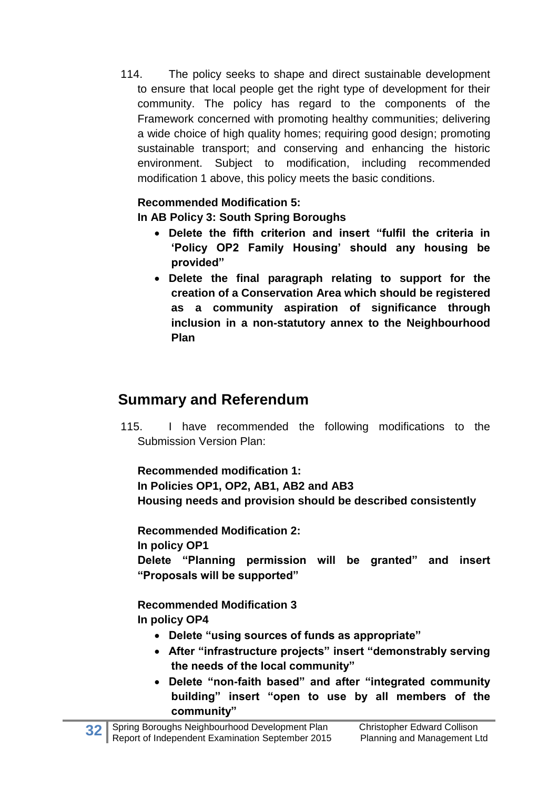114. The policy seeks to shape and direct sustainable development to ensure that local people get the right type of development for their community. The policy has regard to the components of the Framework concerned with promoting healthy communities; delivering a wide choice of high quality homes; requiring good design; promoting sustainable transport; and conserving and enhancing the historic environment. Subject to modification, including recommended modification 1 above, this policy meets the basic conditions.

#### **Recommended Modification 5:**

**In AB Policy 3: South Spring Boroughs**

- **Delete the fifth criterion and insert "fulfil the criteria in 'Policy OP2 Family Housing' should any housing be provided"**
- **Delete the final paragraph relating to support for the creation of a Conservation Area which should be registered as a community aspiration of significance through inclusion in a non-statutory annex to the Neighbourhood Plan**

### **Summary and Referendum**

115. I have recommended the following modifications to the Submission Version Plan:

**Recommended modification 1:**

**In Policies OP1, OP2, AB1, AB2 and AB3 Housing needs and provision should be described consistently**

**Recommended Modification 2:**

**In policy OP1**

**Delete "Planning permission will be granted" and insert "Proposals will be supported"**

**Recommended Modification 3 In policy OP4**

- **Delete "using sources of funds as appropriate"**
- **After "infrastructure projects" insert "demonstrably serving the needs of the local community"**
- **Delete "non-faith based" and after "integrated community building" insert "open to use by all members of the community"**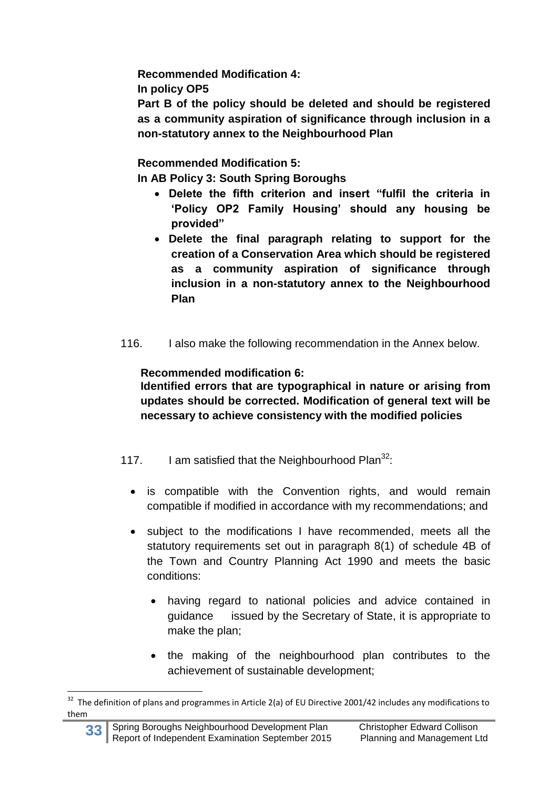**Recommended Modification 4:**

**In policy OP5**

**Part B of the policy should be deleted and should be registered as a community aspiration of significance through inclusion in a non-statutory annex to the Neighbourhood Plan**

**Recommended Modification 5:**

**In AB Policy 3: South Spring Boroughs**

- **Delete the fifth criterion and insert "fulfil the criteria in 'Policy OP2 Family Housing' should any housing be provided"**
- **Delete the final paragraph relating to support for the creation of a Conservation Area which should be registered as a community aspiration of significance through inclusion in a non-statutory annex to the Neighbourhood Plan**
- 116. I also make the following recommendation in the Annex below.

**Recommended modification 6:**

**Identified errors that are typographical in nature or arising from updates should be corrected. Modification of general text will be necessary to achieve consistency with the modified policies**

- 117. I am satisfied that the Neighbourhood Plan $^{32}$ :
	- is compatible with the Convention rights, and would remain compatible if modified in accordance with my recommendations; and
	- subject to the modifications I have recommended, meets all the statutory requirements set out in paragraph 8(1) of schedule 4B of the Town and Country Planning Act 1990 and meets the basic conditions:
		- having regard to national policies and advice contained in guidance issued by the Secretary of State, it is appropriate to make the plan;
		- the making of the neighbourhood plan contributes to the achievement of sustainable development;

**<sup>.</sup>** <sup>32</sup> The definition of plans and programmes in Article 2(a) of EU Directive 2001/42 includes any modifications to them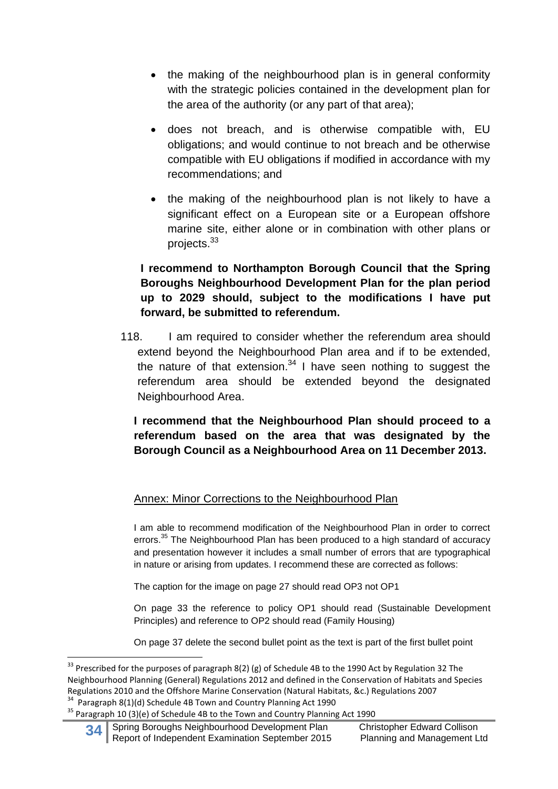- the making of the neighbourhood plan is in general conformity with the strategic policies contained in the development plan for the area of the authority (or any part of that area);
- does not breach, and is otherwise compatible with, EU obligations; and would continue to not breach and be otherwise compatible with EU obligations if modified in accordance with my recommendations; and
- the making of the neighbourhood plan is not likely to have a significant effect on a European site or a European offshore marine site, either alone or in combination with other plans or projects.<sup>33</sup>

#### **I recommend to Northampton Borough Council that the Spring Boroughs Neighbourhood Development Plan for the plan period up to 2029 should, subject to the modifications I have put forward, be submitted to referendum.**

118. I am required to consider whether the referendum area should extend beyond the Neighbourhood Plan area and if to be extended, the nature of that extension. $34$  I have seen nothing to suggest the referendum area should be extended beyond the designated Neighbourhood Area.

**I recommend that the Neighbourhood Plan should proceed to a referendum based on the area that was designated by the Borough Council as a Neighbourhood Area on 11 December 2013.**

#### Annex: Minor Corrections to the Neighbourhood Plan

I am able to recommend modification of the Neighbourhood Plan in order to correct errors.<sup>35</sup> The Neighbourhood Plan has been produced to a high standard of accuracy and presentation however it includes a small number of errors that are typographical in nature or arising from updates. I recommend these are corrected as follows:

The caption for the image on page 27 should read OP3 not OP1

On page 33 the reference to policy OP1 should read (Sustainable Development Principles) and reference to OP2 should read (Family Housing)

On page 37 delete the second bullet point as the text is part of the first bullet point

**.** 

<sup>&</sup>lt;sup>33</sup> Prescribed for the purposes of paragraph 8(2) (g) of Schedule 4B to the 1990 Act by Regulation 32 The Neighbourhood Planning (General) Regulations 2012 and defined in the Conservation of Habitats and Species Regulations 2010 and the Offshore Marine Conservation (Natural Habitats, &c.) Regulations 2007 <sup>34</sup> Paragraph 8(1)(d) Schedule 4B Town and Country Planning Act 1990

<sup>&</sup>lt;sup>35</sup> Paragraph 10 (3)(e) of Schedule 4B to the Town and Country Planning Act 1990